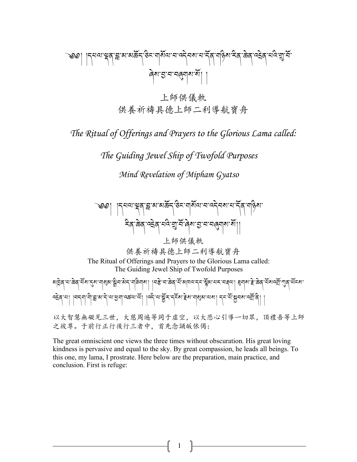༄༅། །དཔལ་(ན་\*་མ་མཆོད་ཅིང་གསོལ་བ་འདེབས་པ་དོན་གཉིས་རིན་ཆེན་འ8ེན་པའི་9་བོ་ ཞེས་;་བ་བ<གས་སོ། །

上師供儀軌 供養祈禱具德上師二利導航寶舟

*The Ritual of Offerings and Prayers to the Glorious Lama called:*

*The Guiding Jewel Ship of Twofold Purposes*

*Mind Revelation of Mipham Gyatso*



The great omniscient one views the three times without obscuration. His great loving kindness is pervasive and equal to the sky. By great compassion, he leads all beings. To this one, my lama, I prostrate. Here below are the preparation, main practice, and conclusion. First is refuge:

1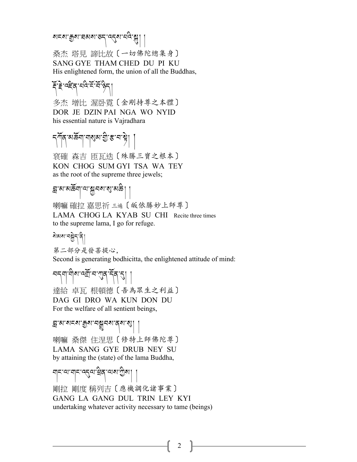#### <u>য়ৼ৶৾ড়৾৶ৼড়৶ৼ৻ড়৾৴৻৴৻</u>

桑杰 塔見 諦比故〔一切佛陀總集身〕 SANG GYE THAM CHED DU PI KU His enlightened form, the union of all the Buddhas,

#### ক্লিক্লিন্দ্র ক্লিক্লিক্লিক<br>বিভিন্ন

多杰 增比 渥卧霓〔金剛持尊之本體〕 DOR JE DZIN PAI NGA WO NYID his essential nature is Vajradhara

$$
\text{Tr}[\text{Var}(\hat{\mathbf{S}}_{\text{max}},\hat{\mathbf{S}}_{\text{max}},\hat{\mathbf{S}}_{\text{max}},\hat{\mathbf{S}}_{\text{max}})]
$$

袞確 森吉 匝瓦迭〔殊勝三寶之根本〕 KON CHOG SUM GYI TSA WA TEY as the root of the supreme three jewels;

## ন্ন'ম'মস্কিন্'অ'মুনম'ম্ম'মক্ক্ৰे| |

喇嘛 確拉 嘉思祈 三遍〔皈依勝妙上師尊〕 LAMA CHOG LA KYAB SU CHI Recite three times to the supreme lama, I go for refuge.

ষ্টমমানম্বীন 第二部分是發菩提心,

Second is generating bodhicitta, the enlightened attitude of mind:

$$
\text{argmin}\{ \text{argmax} \{ \text{argmin} \}
$$

達給 卓瓦 根頓德〔吾為眾生之利益〕 DAG GI DRO WA KUN DON DU For the welfare of all sentient beings,

#### $\mathbb{E}_{\mathbf{z}}$ ାଆଁ ଅଟେଥି । ଏକ୍ସାମ୍ବର ସାହି

喇嘛 桑傑 住涅思〔修特上師佛陀尊〕 LAMA SANG GYE DRUB NEY SU by attaining the (state) of the lama Buddha,

बोट:जर्वाट:जर्दवा,चुर्बर,जर्ज्ञा ।

剛拉 剛度 稱列吉〔應機調化諸事業〕 GANG LA GANG DUL TRIN LEY KYI undertaking whatever activity necessary to tame (beings)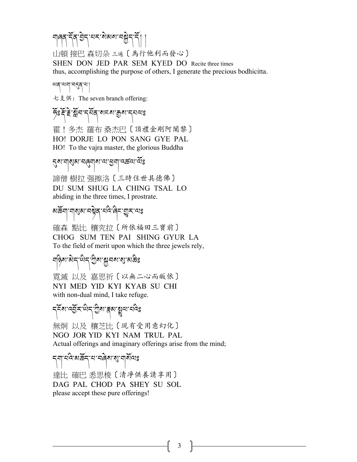#### শাৰ্ণ দ্বি গ্ৰন্দ নহ'ম্যমম নম্ভ্ৰন দ্বী

山頓 接巴 森切朵 三遍〔為行他利而發心〕 SHEN DON JED PAR SEM KYED DO Recite three times thus, accomplishing the purpose of others, I generate the precious bodhicitta.

୴ଵୗ୷୶ଌୗ

七支供:The seven branch offering:

#### উঃ ই: ই: মুঁন দ্মৰ মন্ত্ৰ কুম দ্বান্যঃ

霍!多杰 羅布 桑杰巴〔頂禮金剛阿闍黎〕 HO! DORJE LO PON SANG GYE PAL HO! To the vajra master, the glorious Buddha

#### হম নাগুম নৰ্নাম যা ব্ৰনা বৰ্কন মুঁঃ

諦僧 樹拉 强擦洛〔三時住世具德佛〕 DU SUM SHUG LA CHING TSAL LO abiding in the three times, I prostrate.

ষার্দ্রুনা নাৰ্থ্য নাই বাই বিন্দু কলেঃ

確森 點比 穰究拉〔所依福田三寶前〕 CHOG SUM TEN PAI SHING GYUR LA To the field of merit upon which the three jewels rely,

#### নড়িম'ম্বান্'ঐন'শ্ৰুম'ম্ভ্ৰনম'ম্য'মক্তঃ

霓滅 以及 嘉思祈〔以無二心而皈依〕 NYI MED YID KYI KYAB SU CHI with non-dual mind, I take refuge.

དངོས་འ;ོར་ཡིད་Oིས་Wམ་Xལ་པའིཿ

無炯 以及 穰芝比〔現有受用意幻化〕 NGO JOR YID KYI NAM TRUL PAL Actual offerings and imaginary offerings arise from the mind;

 $\mathcal{N}$ 達比 確巴 悉思梭〔清凈供養請享用〕 DAG PAL CHOD PA SHEY SU SOL please accept these pure offerings!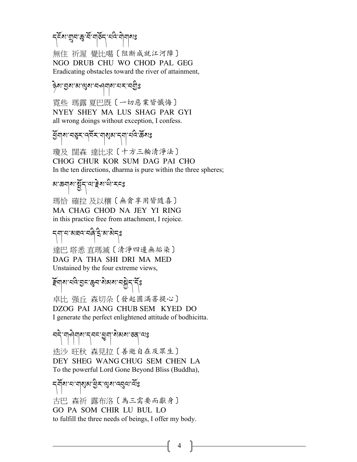### ন্দ্ৰিম শ্ৰুন স্কু শ্ৰী মুক্তন্দ্ৰ কৰি আৰু মা

無住 祈渥 覺比噶〔阻断成就江河障〕 NGO DRUB CHU WO CHOD PAL GEG Eradicating obstacles toward the river of attainment,

#### કેશ.चैथ.च.ढो%

霓些 瑪露 夏巴既〔一切惡業皆懺悔〕 NYEY SHEY MA LUS SHAG PAR GYI all wrong doings without exception, I confess.

કેંગ્રાચ નજી તાર્વેસ્વા માટે આ જોવા માટે સ્વાર

瓊及 闊森 達比求〔十方三輪清淨法〕 CHOG CHUR KOR SUM DAG PAI CHO In the ten directions, dharma is pure within the three spheres;

*য়*৽ড়৶৶ৼয়৻৸ৣয়৸ৼঢ়ৼ

瑪恰 確拉 及以穰〔無貪享用皆隨喜〕 MA CHAG CHOD NA JEY YI RING in this practice free from attachment, I rejoice.

#### ন্ম নামৰৰ নৰীত্ৰী স্বাস্থা

達巴 塔悉 直瑪滅〔清淨四邊無垢染〕 DAG PA THA SHI DRI MA MED Unstained by the four extreme views,

#### ৰ্ট্মৰ্ম'নন্দ্ৰ দ্ৰুৱাৰী অগবৰ্ষী বৰ্তি

卓比 强丘 森切朵〔發起圓滿菩提心〕 DZOG PAI JANG CHUB SEM KYED DO I generate the perfect enlightened attitude of bodhicitta.

# อธุ่ ๆ คุ่ๆๆๆ มารุษะ : สูๆ : มิฆฺฆฺ : อสฺ : ฺ ฺ : ยฺ

迭沙 旺秋 森見拉〔善逝自在及眾生〕 DEY SHEG WANG CHUG SEM CHEN LA To the powerful Lord Gone Beyond Bliss (Buddha),

#### ন্ম্ ৰাম্বাৰাজ্য প্ৰিম ব্যে ব্যৱস্থা

古巴 森祈 露布洛〔為三需要而獻身〕 GO PA SOM CHIR LU BUL LO to fulfill the three needs of beings, I offer my body.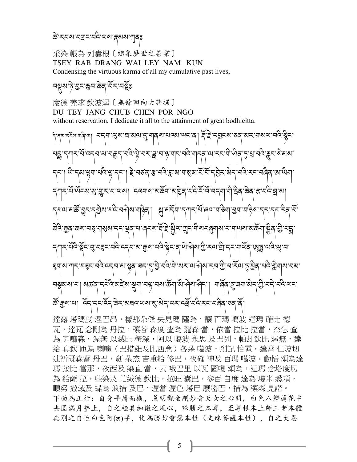#### ক্সিম্বৰাম্বলৈ অৰাক্ষৰ আৰু স

采染 帳為 列囊根〔總集歷世之善業〕 TSEY RAB DRANG WAI LEY NAM KUN Condensing the virtuous karma of all my cumulative past lives,

#### ঽুষ্মাদৃান্তুনাক্তিরার্মিনানমূঃ

度德 羌求 欽波渥〔無餘回向大菩提〕 DU TEY JANG CHUB CHEN POR NGO without reservation, I dedicate it all to the attainment of great bodhicitta.

ন্দ্ৰাণ্ড্ৰৰ ঘৰাত্ৰা নাৰ্থা নাৰ্যালয় কৰা দুৰ্দ্ৰ প্ৰদৰ্শন কৰা বাৰ্থা বিদ্যুদ ར་མེ་འདབ་མ་བརྱུད་པེའེ་ལེ་བར་རྒྱ་བ་ལུ་གང་བེའེ་གདན་ལ་རང་གེ་ལེན་བྱ་སྲ་བེའེ་རྱང་སེམས་ ানবিশ্লেন্দ্ৰা ইানহৰ ধ্ৰাৰক্ষী ছালাৰীপৰ দুৰ্বাৰ সম্ভিদ 'য়ুুুুুুুুুুু শ্ৰম্মা ব্ৰেনাৰাজ্ঞানী অভিন্ন কৰি কৰি কৰি বিৰোধ কৰি পৰা বিৰোধ কৰি কৰি কৰি <u>้สนะสงจันเล่อิย่ ไว้เช่ะย่าไปเว้นอยู่สูง</u> ান'ৰেনম'ৰ্ই'ই'ষ্ট্ৰীঅ'শ্ৰুন'নীমনৰ্ন্মৰাম'ন'নাঅম'মাক্টনা নেঅ ক্ৰুম নন্দ্ৰ ষ্টুহত্ত অস্প্ৰান্টু হেঅ ম্ৰীহ্ন নামূপ্ৰ ্ব্ৰাহ্মাব্দীৰাম্বাৰীৰ ক্ৰিয়া বিশ্ববিদ্যালয় বিশ্ববিদ্যা 'নথ্ন'নম'ৰ্ক্ৰনা'ৰ্ম'ঐম'ঐন'। নাৰ্ব্ৰ ক্লিক্সান। দ্র্বার্ক্সিক্সার্ক্সার্ক্সার্থার বিদ্রাল্প করা বিদ্রাল্প করা ব

達露 塔瑪度 涅巴昂,樣那朵傑 央見瑪 薩為,釀 百瑪 噶波 達瑪 確比 德 瓦,達瓦 念剛為 丹拉,穰各 森度 查為 龍森 當,依當 拉比 拉當,杰怎 查 為 喇嘛森,渥無 以滅比 穰深,阿以 噶波 永思 及巴列,帕却欽比 渥無,達 给 真欽 匝為 喇嘛(巴措雄及比西念)各朵 噶波,剎記 恰霓,達當 仁波切 建祈既森當 丹巴,剎 朵杰 吉重給 修巴,夜確 神及 百瑪 噶波,動悟 頌為達 瑪 接比 當那,夜西及 染直 當,云 哦巴里 以瓦 圖噶 頌為,達瑪 念塔度切 為 給薩 拉,些染及 帕絨德 欽比,拉旺 囊巴,参百 自度 達為 瓊米 悉項, 順努 撒滅及 蝶為 浪措 及巴,渥當 渥色 塔已 麼密巴,措為 穰森 見諾。 下面為正行:自身平庸而觀,或明觀金剛妙音天女之心間,白色八瓣蓮花中 央圓滿月墊上,自之極其細微之風心,殊勝之本尊,至尊根本上師三者本體 無別之自性白色阿(ཨ)字,化為勝妙智慧本性(文殊菩薩本性),自之大恩

5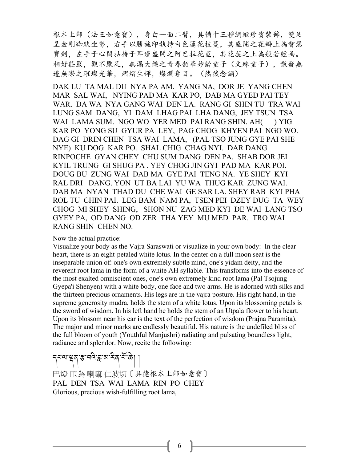根本上師(法王如意寶),身白一面二臂,具備十三種綢緞珍寶裝飾,雙足 呈金剛跏趺坐勢,右手以勝施印執持白色蓮花枝蔓,其盛開之花瓣上為智慧 寶劍,左手于心間拈持于耳邊盛開之阿巴拉花莖,其花蕊之上為般若經函。 相好莊嚴,觀不厭足,無漏大樂之青春韶華妙齡童子(文殊童子),散發無 邊無際之璀璨光華,熠熠生輝,燦爛奪目。(然後念誦)

DAK LU TA MAL DU NYA PA AM. YANG NA, DOR JE YANG CHEN MAR SAL WAI, NYING PAD MA KAR PO, DAB MA GYED PAI TEY WAR. DA WA NYA GANG WAI DEN LA. RANG GI SHIN TU TRA WAI LUNG SAM DANG, YI DAM LHAG PAI LHA DANG, JEY TSUN TSA WAI LAMA SUM. NGO WO YER MED PAI RANG SHIN. AH() YIG KAR PO YONG SU GYUR PA LEY, PAG CHOG KHYEN PAI NGO WO. DAG GI DRIN CHEN TSA WAI LAMA, (PAL TSO JUNG GYE PAI SHE NYE) KU DOG KAR PO. SHAL CHIG CHAG NYI. DAR DANG RINPOCHE GYAN CHEY CHU SUM DANG DEN PA. SHAB DOR JEI KYIL TRUNG GI SHUG PA . YEY CHOG JIN GYI PAD MA KAR POI. DOUG BU ZUNG WAI DAB MA GYE PAI TENG NA. YE SHEY KYI RAL DRI DANG. YON UT BA LAI YU WA THUG KAR ZUNG WAI. DAB MA NYAN THAD DU CHE WAI GE SAR LA. SHEY RAB KYI PHA ROL TU CHIN PAI. LEG BAM NAM PA, TSEN PEI DZEY DUG TA WEY CHOG MI SHEY SHING, SHON NU ZAG MED KYI DE WAI LANG TSO GYEY PA, OD DANG OD ZER THA YEY MU MED PAR. TRO WAI RANG SHIN CHEN NO.

Now the actual practice:

Visualize your body as the Vajra Saraswati or visualize in your own body: In the clear heart, there is an eight-petaled white lotus. In the center on a full moon seat is the inseparable union of: one's own extremely subtle mind, one's yidam deity, and the reverent root lama in the form of a white AH syllable. This transforms into the essence of the most exalted omniscient ones, one's own extremely kind root lama (Pal Tsojung Gyepa'i Shenyen) with a white body, one face and two arms. He is adorned with silks and the thirteen precious ornaments. His legs are in the vajra posture. His right hand, in the supreme generosity mudra, holds the stem of a white lotus. Upon its blossoming petals is the sword of wisdom. In his left hand he holds the stem of an Utpala flower to his heart. Upon its blossom near his ear is the text of the perfection of wisdom (Prajna Paramita). The major and minor marks are endlessly beautiful. His nature is the undefiled bliss of the full bloom of youth (Youthful Manjushri) radiating and pulsating boundless light, radiance and splendor. Now, recite the following:

รุสุขาชุสุ สามาร์สุ สามาร์ || 巴燈 匝為 喇嘛 仁波切〔具德根本上師如意寶〕 PAL DEN TSA WAI LAMA RIN PO CHEY Glorious, precious wish-fulfilling root lama,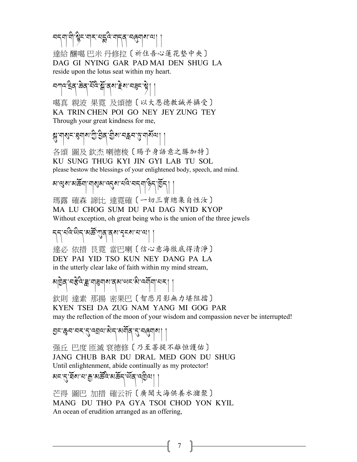ㅋདག་གི་སྱིང་གར་པདྲིའ་གདན་བེནུགས་ལ།

達給 釀噶 巴米 丹修拉〔祈住吾心蓮花墊中央〕 DAG GI NYING GAR PAD MAI DEN SHUG LA reside upon the lotus seat within my heart.

সশন: ইন্জি স্ট্রিস্ট্রান্ক বাং ইন্ডা নৱন: ম্ট্রা 噶真 親波 果霓 及頌德〔以大恩德教誡并攝受〕 KA TRIN CHEN POI GO NEY JEY ZUNG TEY Through your great kindness for me,

স্ত্র'নাগ্রুন'ব্রনাগু'ট্রিব'গ্রীম'নব্লন'ত্ত্ব'না<sup>ইবেন</sup>| | 各頌 圖及 欽杰 喇德梭〔賜予身語意之勝加特〕 KU SUNG THUG KYI JIN GYI LAB TU SOL please bestow the blessings of your enlightened body, speech, and mind.

<u>য়ড়য়ৼয়ড়য়ৗ৻য়৾৾৶য়ড়৴৵ৼঢ়ড়৻৸ৼ৾৻৻৸৸৻ৡ৾৴</u>

瑪露 確森 諦比 達霓確〔一切三寶總集自性汝〕 MA LU CHOG SUM DU PAI DAG NYID KYOP Without exception, oh great being who is the union of the three jewels

รรายนิติรายสิริมารุธราย

達必 依措 艮霓 當巴喇〔信心意海徹底得清淨〕 DEY PAI YID TSO KUN NEY DANG PA LA in the utterly clear lake of faith within my mind stream,

མβེན་བརིའི་རྒྱ་གུརུགས་ནས་ལང་མེ་འགོག་པར། । 欽則 達素 那揚 密果巴〔智悲月影無力堪阻擋〕 KYEN TSEI DA ZUG NAM YANG MI GOG PAR may the reflection of the moon of your wisdom and compassion never be interrupted!

হ্রন:স্কুন:বন্:(:ন্ম্রন:স্তান্মন্মীব্',(:ন্ম্রন্মা ||

强丘 巴度 匝滅 袞德修〔乃至菩提不離恒護佑〕 JANG CHUB BAR DU DRAL MED GON DU SHUG Until enlightenment, abide continually as my protector! মন'ন্ট্ৰিম'ন'ক্ৰু'মৰ্ক্টিন'ৰ্ম্মক্ৰ্ম'ৰ্ম্ভিন্ম $\mid$ 

芒得 圖巴 加措 確云祈〔廣聞大海供養水潴聚〕 MANG DU THO PA GYA TSOI CHOD YON KYIL An ocean of erudition arranged as an offering,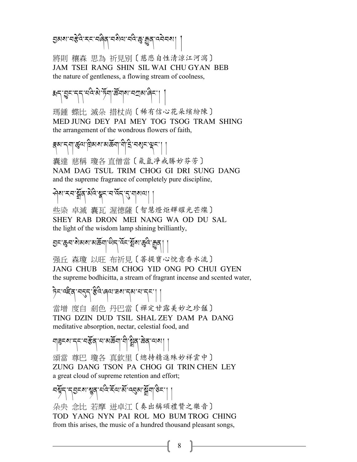ইখি: ২৮: খণ্ড এ, খঙ্গামা, পুঃ শ্ৰি বিশ্বস্থা

將則 穰森 思為 祈見别〔慈悲自性清涼江河瀉〕 JAM TSEI RANG SHIN SIL WAI CHU GYAN BEB the nature of gentleness, a flowing stream of coolness,

## ซีรุ่ ฮูรารุรายุธุ์: अग्ने क्षेत्राज्ञा अपवेदा

瑪鍾 蝶比 滅朵 措杖尚〔稀有信心花朵繽紛陳〕 MED JUNG DEY PAI MEY TOG TSOG TRAM SHING the arrangement of the wondrous flowers of faith,

<u> क्ष्</u>यः المسلم المسلم المسلم المسلم المسلم المسلم المسلم المسلم المسلم المسلم المسلم المسلم المسلم المسلم ال<br>المسلم المسلم المسلم المسلم المسلم المسلم المسلم المسلم المسلم المسلم المسلم المسلم المسلم المسلم المسلم المس

囊達 慈稱 瓊各 直僧當〔氤氳凈戒勝妙芬芳〕 NAM DAG TSUL TRIM CHOG GI DRI SUNG DANG and the supreme fragrance of completely pure discipline,

$$
\mathcal{P}^{\text{max}}_{\text{max}} = \mathcal{P}^{\text{max}}
$$

些染 卓滅 囊瓦 渥德薩〔智慧燈炬輝耀光芒燦〕 SHEY RAB DRON MEI NANG WA OD DU SAL the light of the wisdom lamp shining brilliantly,

$$
\text{Var}(\mathcal{B}^{\text{max}}) \leq \text{Var}(\mathcal{B}^{\text{max}}) \leq \text{Var}(\mathcal{B}^{\text{max}}) \leq \text{Var}(\mathcal{B}^{\text{max}})
$$

强丘 森瓊 以旺 布祈見〔菩提寶心悅意香水流〕 JANG CHUB SEM CHOG YID ONG PO CHUI GYEN the supreme bodhicitta, a stream of fragrant incense and scented water,

## हेन्.ज्हूर्व.चर्टर्न.द्वुज़.खेल.चर्य.संबान.र्टर्.| |

當增 度自 剎色 丹巴當〔禪定甘露美妙之珍饈〕 TING DZIN DUD TSIL SHAL ZEY DAM PA DANG meditative absorption, nectar, celestial food, and

## মাৰ্চমান্নামাক্তি নামাৰ্জনা নীষ্ট্ৰবাজ্জ্বা আৰু ৷ |

頌當 尊巴 瓊各 直欽里〔總持精進殊妙祥雲中〕 ZUNG DANG TSON PA CHOG GI TRIN CHEN LEY a great cloud of supreme retention and effort;

## <u> नर्भेन् नु</u>डन्त्रा भ्रुव् मविन्स्लाओं वसुबार्भ्रेना डेन्म ।

朵央 念比 若摩 迸卓江〔奏出稱頌禮贊之樂音〕 TOD YANG NYN PAI ROL MO BUM TROG CHING from this arises, the music of a hundred thousand pleasant songs,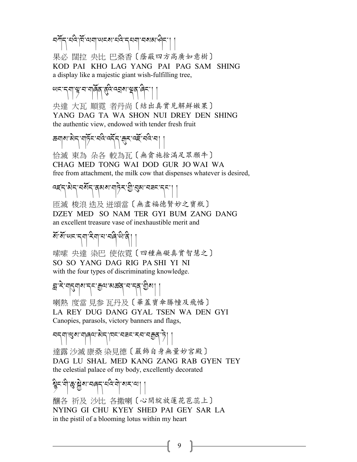བཀོད་པའི་ཁོ་ལག་ཡངས་པའི་དཔག་བསམ་ཤིང་། །

果必 闊拉 央比 巴桑香〔蔭蔽四方高廣如意樹〕 KOD PAI KHO LAG YANG PAI PAG SAM SHING a display like a majestic giant wish-fulfilling tree,

୷ଽୄ୕୳୴ୄଌ୕୲ଽ୲୴ୗୣଵୗଽୖୣଌୡ୷ଽଌ୶୲ୡୗୢୣଌୗଽୗ

央達 大瓦 順霓 者丹尚〔結出真實見解鮮嫩果〕 YANG DAG TA WA SHON NUI DREY DEN SHING the authentic view, endowed with tender fresh fruit

<u>ক্ষ্মাৰাজ্য মাৰ্চুন বৰ্ত্ত বৰ্ত্ত বৰ্ত্ত বৰ্ত্ত বা</u>

恰滅 東為 朵各 較為瓦〔無貪施捨滿足眾願牛〕 CHAG MED TONG WAI DOD GUR JO WAI WA free from attachment, the milk cow that dispenses whatever is desired,

दहरू अर्च नगर विद्यालको अर्चन्द्र ।

匝滅 梭浪 迭及 迸頌當〔無盡福德賢妙之寶瓶〕 DZEY MED SO NAM TER GYI BUM ZANG DANG an excellent treasure vase of inexhaustible merit and

# ষ্টিজ্য মানবাৰী জীৱী

嗦嗦 央達 染巴 使依霓〔四種無礙真實智慧之〕 SO SO YANG DAG RIG PA SHI YI NI with the four types of discriminating knowledge.

 $\mathbb{E}_{\mathcal{F}_{\mathcal{F}}}$ العرفي عام التهريب التهريب التهريب التهريب التهريب التهريب التهريب التهريب التهريب التهريب التهريب التهريب التهريب ا

喇熱 度當 見参 瓦丹及〔華蓋寶傘勝幢及飛幡〕 LA REY DUG DANG GYAL TSEN WA DEN GYI Canopies, parasols, victory banners and flags,

## བདག་Zས་གཞལ་མེད་ཁང་བཟང་རབ་བ=ན་ཏེ། །

達露 沙滅 康桑 染見德〔嚴飾自身無量妙宮殿〕 DAG LU SHAL MED KANG ZANG RAB GYEN TEY the celestial palace of my body, excellently decorated

# हैन्.ची.क्षे थ्रैश.चर्खे.ची.बार.ज्ञ $\big|\big|$

釀各 祈及 沙比 各撒喇〔心間綻放蓮花苞蕊上〕 NYING GI CHU KYEY SHED PAI GEY SAR LA in the pistil of a blooming lotus within my heart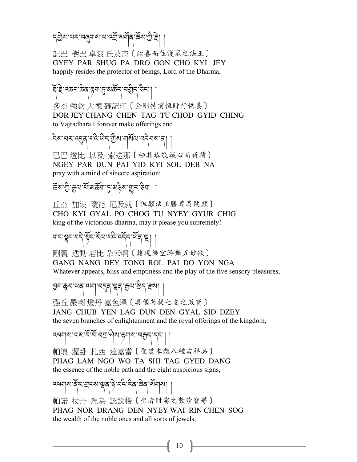ন্মীৰ নৰ্ম নৰ্থনীৰ ব্যাপকী জ্ঞানী দু

記巴 樹巴 卓袞 丘及杰〔欣喜而住護眾之法王〕 GYEY PAR SHUG PA DRO GON CHO KYI JEY happily resides the protector of beings, Lord of the Dharma,

Aོ་Bེ་འཆང་ཆེན་éག་j་མཆོད་བGིད་ཅིང་། །

多杰 強欽 大德 確記江〔金剛持前恒時行供養〕 DOR JEY CHANG CHEN TAG TU CHOD GYID CHING to Vajradhara I forever make offerings and

ངེས་པར་འ?ན་པའི་ཡིད་Oིས་གསོལ་འདེབས་ན། །

已巴 燈比 以及 索迭那〔極其恭敬誠心而祈禱〕 NGEY PAR DUN PAI YID KYI SOL DEB NA pray with a mind of sincere aspiration:

 $\mathfrak{F}$ ब $\mathfrak{F}$ ः अ $\mathfrak{F}$ ा $\mathfrak{F}$ ा $\mathfrak{F}$ ा $\mathfrak{F}$ ा $\mathfrak{F}$ ा $\mathfrak{F}$ 

丘杰 加波 瓊德 尼及就〔但願法王勝尊喜開顏〕 CHO KYI GYAL PO CHOG TU NYEY GYUR CHIG king of the victorious dharma, may it please you supremely!

बाद सन् सन् में इन् स्वानवे क्यू न अर्थ । ।

剛囊 迭動 若比 朵云啊〔諸現樂空游舞五妙欲〕 GANG NANG DEY TONG ROL PAI DO YON NGA Whatever appears, bliss and emptiness and the play of the five sensory pleasures,

55. ซิ้ย... พย่างประชาธิตร (สิ้น)

强丘 嚴喇 燈丹 嘉色澤〔具備菩提七支之政寶〕 JANG CHUB YEN LAG DUN DEN GYAL SID DZEY the seven branches of enlightenment and the royal offerings of the kingdom,

འধনাথ অম হৈ হৈ বস্রা �্বী রা ধ্যা বর্তু (২৮১)

帕浪 渥卧 扎西 達嘉當〔聖道本體八種吉祥品〕 PHAG LAM NGO WO TA SHI TAG GYED DANG the essence of the noble path and the eight auspicious signs,

द्यवारा दें स्वाद्याञ्चत हे नवे देव केव सेवाया

帕諾 杖丹 涅為 認欽梭〔聖者財富之數珍寶等〕 PHAG NOR DRANG DEN NYEY WAI RIN CHEN SOG the wealth of the noble ones and all sorts of jewels,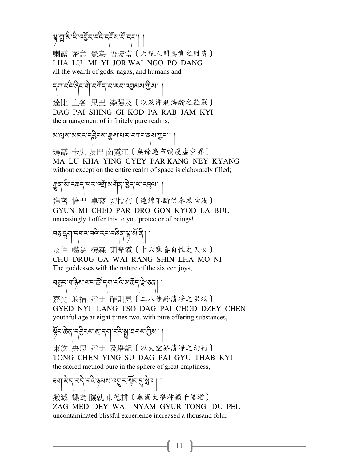ล้.นี้.ซู.สู.สู.สู.สู.สู.สู.สู.สู. 喇露 密意 覺為 悟波當〔天龍人間真實之財寶〕 LHA LU MI YI JOR WAI NGO PO DANG all the wealth of gods, nagas, and humans and

དག་པའི་ཞིང་གི་བཀོད་པ་རབ་འ;མས་Oིས། ། 達比 上各 果巴 染强及〔以及淨剎浩瀚之莊嚴〕 DAG PAI SHING GI KOD PA RAB JAM KYI the arrangement of infinitely pure realms,

স:প্রিস:স্রাচান:ই) - স্য:মুক্স:মর্ম:ব্যান:প্রম:মী |

瑪露 卡央 及巴 崗霓江〔無餘遍布彌漫虛空界〕 MA LU KHA YING GYEY PAR KANG NEY KYANG without exception the entire realm of space is elaborately filled;

ছুন্"ম্লার্জন্"মন্মন্মী মর্মান্ত্রা । ।

進密 恰巴 卓袞 切拉布〔連綿不斷供奉眾怙汝〕 GYUN MI CHED PAR DRO GON KYOD LA BUL unceasingly I offer this to you protector of beings!

## चङ्ज्यान्तमादानदेग्स्टान्नेबन्धुअर्थान्। ।

及住 噶為 穰森 喇摩霓〔十六歡喜自性之天女〕 CHU DRUG GA WAI RANG SHIN LHA MO NI The goddesses with the nature of the sixteen joys,

## নক্কুন্মজ্বিজ্ঞান্মই নৃশা নন্দ্ৰ অৰ্জন ক্লা ভাষা

嘉霓 浪措 達比 確則見〔二八佳齡清凈之供物〕 GYED NYI LANG TSO DAG PAI CHOD DZEY CHEN youthful age at eight times two, with pure offering substances,

### য়ুঁহ:ଛন্মুহটুহৰ:থ:टीची.चूढ़:धे:घचळ:ग्रीथ| .

東欽 央思 達比 及塔記〔以大空界清淨之幻術〕 TONG CHEN YING SU DAG PAI GYU THAB KYI the sacred method pure in the sphere of great emptiness,

## ཟག་མེད་བདེ་བའི་ཉམས་འUར་Iོང་?་äེལ། །

撒滅 蝶為 釀就 東德排〔無漏大樂神韻千倍增〕 ZAG MED DEY WAI NYAM GYUR TONG DU PEL uncontaminated blissful experience increased a thousand fold;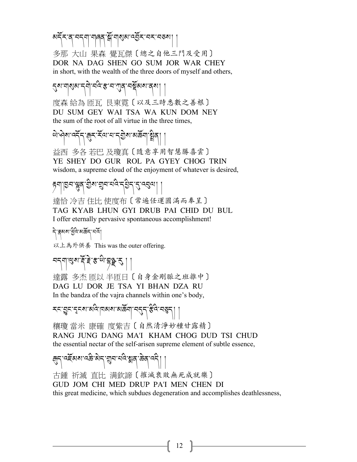#### མརོར་ན་བདག་གན་སྐོ་གསུམ་འརྲོར་བར་བུས།

多那 大山 果森 覺瓦傑〔總之自他三門及受用〕 DOR NA DAG SHEN GO SUM JOR WAR CHEY in short, with the wealth of the three doors of myself and others,

2 ม. ปอรณะ 2 ม. 19 2 3 ม. 19 2 ม. 19 2 1 度森 給為 匝瓦 艮東霓〔以及三時悉數之善根〕 DU SUM GEY WAI TSA WA KUN DOM NEY the sum of the root of all virtue in the three times,

ཡེ་ཤེས་འདོད་åར་རོལ་པ་དGེས་མཆོག་ãིན། །

益西 多各 若巴 及瓊真〔隨意享用智慧勝喜雲〕 YE SHEY DO GUR ROL PA GYEY CHOG TRIN wisdom, a supreme cloud of the enjoyment of whatever is desired,

$$
\geq \frac{1}{2} \left| \left[ \mathbb{E}^{2} \mathbb{E} \mathbb{E} \left[ \mathbb{E} \mathbb{E} \mathbb{E} \mathbb{E} \mathbb{E} \mathbb{E} \mathbb{E} \mathbb{E} \mathbb{E} \mathbb{E} \mathbb{E} \mathbb{E} \mathbb{E} \mathbb{E} \mathbb{E} \mathbb{E} \mathbb{E} \mathbb{E} \mathbb{E} \mathbb{E} \mathbb{E} \mathbb{E} \mathbb{E} \mathbb{E} \mathbb{E} \mathbb{E} \mathbb{E} \mathbb{E} \mathbb{E} \mathbb{E} \mathbb{E} \mathbb{E} \mathbb{E} \mathbb{E} \mathbb{E} \mathbb{E} \mathbb{E} \mathbb{E} \mathbb{E} \mathbb{E} \mathbb{E} \mathbb{E} \mathbb{E} \mathbb{E} \mathbb{E} \mathbb{E} \mathbb{E} \mathbb{E} \mathbb{E} \mathbb{E} \mathbb{E} \mathbb{E} \mathbb{E} \mathbb{E} \mathbb{E} \mathbb{E} \mathbb{E} \mathbb{E} \mathbb{E} \mathbb{E} \mathbb{E} \mathbb{E} \mathbb{E} \mathbb{E} \mathbb{E} \mathbb{E} \mathbb{E} \mathbb{E} \mathbb{E} \mathbb{E} \mathbb{E} \mathbb{E} \mathbb{E} \mathbb{E} \mathbb{E} \mathbb{E} \mathbb{E} \mathbb{E} \mathbb{E} \mathbb{E} \mathbb{E} \mathbb{E} \mathbb{E} \mathbb{E} \mathbb{E} \mathbb{E} \mathbb{E} \mathbb{E} \mathbb{E} \mathbb{E} \mathbb{E} \mathbb{E} \mathbb{E} \mathbb{E} \mathbb{E} \mathbb{E} \mathbb{E} \mathbb{E} \mathbb{E} \mathbb{E} \mathbb{E} \mathbb{E} \mathbb{E} \mathbb{E} \mathbb{E} \mathbb{E} \mathbb{E} \mathbb{E} \mathbb{E} \mathbb{E} \mathbb{E} \mathbb{E} \mathbb{E} \mathbb{E} \mathbb{E} \mathbb{E} \mathbb{E} \mathbb{E} \mathbb{E} \mathbb{E}
$$

達恰 冷吉 住比 使度布〔常遍任運圓滿而奉呈〕 TAG KYAB LHUN GYI DRUB PAI CHID DU BUL I offer eternally pervasive spontaneous accomplishment!

དེ་Gམས་Bིའི་མཆོད་པའོ།

以上為外供養 This was the outer offering.

$$
\text{argmin}_{\mathcal{A}}\left\{\mathbf{F}_{\mathcal{A}}\mathbf{F}_{\mathcal{A}}\mathbf{F}_{\mathcal{A}}\mathbf{F}_{\mathcal{A}}\right\}
$$

達露 多杰 匝以 半匝日〔自身金剛脈之班雜中〕 DAG LU DOR JE TSA YI BHAN DZA RU In the bandza of the vajra channels within one's body,

$$
\textbf{1} \textbf{1} \textbf{1} \textbf{1} \textbf{1} \textbf{1} \textbf{1} \textbf{1} \textbf{1} \textbf{1} \textbf{1} \textbf{1} \textbf{1} \textbf{1} \textbf{1} \textbf{1} \textbf{1} \textbf{1} \textbf{1} \textbf{1} \textbf{1} \textbf{1} \textbf{1} \textbf{1} \textbf{1} \textbf{1} \textbf{1} \textbf{1} \textbf{1} \textbf{1} \textbf{1} \textbf{1} \textbf{1} \textbf{1} \textbf{1} \textbf{1} \textbf{1} \textbf{1} \textbf{1} \textbf{1} \textbf{1} \textbf{1} \textbf{1} \textbf{1} \textbf{1} \textbf{1} \textbf{1} \textbf{1} \textbf{1} \textbf{1} \textbf{1} \textbf{1} \textbf{1} \textbf{1} \textbf{1} \textbf{1} \textbf{1} \textbf{1} \textbf{1} \textbf{1} \textbf{1} \textbf{1} \textbf{1} \textbf{1} \textbf{1} \textbf{1} \textbf{1} \textbf{1} \textbf{1} \textbf{1} \textbf{1} \textbf{1} \textbf{1} \textbf{1} \textbf{1} \textbf{1} \textbf{1} \textbf{1} \textbf{1} \textbf{1} \textbf{1} \textbf{1} \textbf{1} \textbf{1} \textbf{1} \textbf{1} \textbf{1} \textbf{1} \textbf{1} \textbf{1} \textbf{1} \textbf{1} \textbf{1} \textbf{1} \textbf{1} \textbf{1} \textbf{1} \textbf{1} \textbf{1} \textbf{1} \textbf{1} \textbf{1} \textbf{1} \textbf{1} \textbf{1} \textbf{1} \textbf{1} \textbf{1} \textbf{1} \textbf{1} \textbf{1} \textbf{1} \textbf{1} \textbf{1} \textbf{1} \textbf{1} \textbf{1} \textbf{1} \textbf{1} \textbf{1} \textbf{1} \textbf{1} \textbf{1} \textbf{1} \textbf{1} \textbf{1} \textbf
$$

穰瓊 當米 康確 度紫吉〔自然清淨妙種甘露精〕 RANG JUNG DANG MA'I KHAM CHOG DUD TSI CHUD the essential nectar of the self-arisen supreme element of subtle essence,

$$
\text{supp} \left( \text{arg} \left( \text{supp} \left( \text{supp} \left( \text{supp} \left( \text{supp} \left( \text{supp} \left( \text{supp} \left( \text{supp} \left( \text{supp} \left( \text{supp} \left( \text{supp} \left( \text{supp} \left( \text{supp} \left( \text{supp} \left( \text{supp} \left( \text{supp} \left( \text{supp} \left( \text{supp} \left( \text{supp} \left( \text{supp} \left( \text{supp} \left( \text{supp} \left( \text{supp} \left( \text{supp} \left( \text{supp} \left( \text{supp} \left( \text{supp} \left( \text{supp} \left( \text{supp} \left( \text{supp} \left( \text{supp} \left( \text{supp} \left( \text{supp} \left( \text{supp} \right) \right) \right) \right) \right) \right) \right) \right) \right) \right) \right) \right) \\
$$

古鍾 祈滅 直比 满欽諦〔摧滅衰敗無死成就樂〕 GUD JOM CHI MED DRUP PA'I MEN CHEN DI this great medicine, which subdues degeneration and accomplishes deathlessness,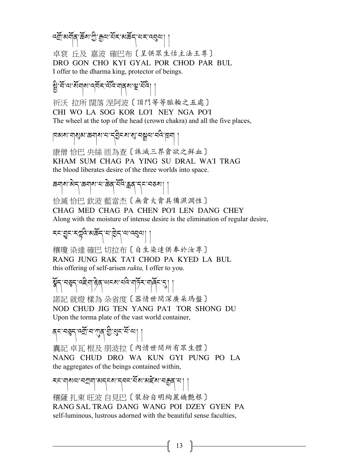ক্সীমের্মীব্ $\cdot$ ক্রঁম'স্রী:ক্রুন্ম'র্মঁহ'মস্কঁব্'নহ'ন্নব্রুন্ম|

卓袞 丘及 嘉波 確巴布〔呈供眾生怙主法王尊〕 DRO GON CHO KYI GYAL POR CHOD PAR BUL I offer to the dharma king, protector of beings.

ষ্ট্র'র্মাথার্মীমান্মিমাট্রামান্মান্মান্মী |<br>মু

祈沃 拉所 闊落 涅阿波〔頂門等等脈輪之五處〕 CHI WO LA SOG KOR LO'I NEY NGA PO'I The wheel at the top of the head (crown chakra) and all the five places,

|নৰ্থম'ন|ৰ্মুৰা'ক্ৰন|ৰ্ম'ন'ব্ ইচৰা'ৰ্ম'ন'মুন'|ৰ্মন|

康僧 恰巴 央絲 匝為查〔誅滅三界貪欲之鮮血〕 KHAM SUM CHAG PA YING SU DRAL WA'I TRAG the blood liberates desire of the three worlds into space.

ಹಸ್ವಾಂಡಿಸಿ, ಅಮ್ಮ ಮತ್ತು ಸ್ವರ್ಧ್ವಶ್ರವಾಗಿ ,

恰滅 恰巴 欽波 藍當杰〔無貪大貪具備濕潤性〕 CHAG MED CHAG PA CHEN PO'I LEN DANG CHEY Along with the moisture of intense desire is the elimination of regular desire,

རང་བྱང་རལྱའེ་མརོན་པ་ལྱེད་ལ་འབྱལ། །

穰瓊 染達 確巴 切拉布〔自生染達供奉於汝尊〕 RANG JUNG RAK TA'I CHOD PA KYED LA BUL this offering of self-arisen *rakta,* I offer to you.

हेन् नङ्ग न्हेन् सन्बन्धान् करणान् ।

諾記 就燈 樣為 朵省度〔器情世間深廣朵瑪盤〕 NOD CHUD JIG TEN YANG PA'I TOR SHONG DU Upon the torma plate of the vast world container,

बहा बर्जुन बर्जुन सुरुद्धा ।

囊記 卓瓦 根及 朋波拉〔內情世間所有眾生體〕 NANG CHUD DRO WA KUN GYI PUNG PO LA the aggregates of the beings contained within,

རང་གསལ་བཀག་མདངས་དབང་རོས་མརེས་བརྒྱན་པ། । 穰薩 扎東 旺波 自見巴〔裝扮自明絢麗嬌艷根〕 RANG SAL TRAG DANG WANG POI DZEY GYEN PA self-luminous, lustrous adorned with the beautiful sense faculties,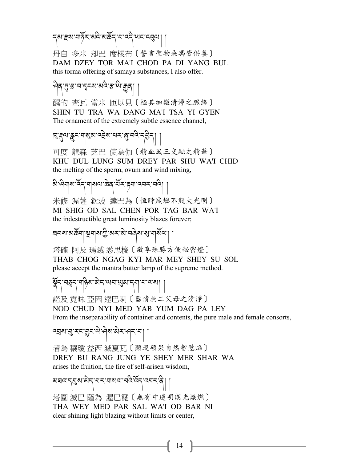รุสารุสาม ที่ 5 - สุดิต พริษา (พราชสุด)

丹自 多米 却巴 度樣布〔誓言聖物朵瑪皆供養〕 DAM DZEY TOR MA'I CHOD PA DI YANG BUL this torma offering of samaya substances, I also offer.

#### १९८९: स.च.र्टेटका बातुः के.कुर्यु | |

醒的 查瓦 當米 匝以見〔極其細微清淨之脈絡〕 SHIN TU TRA WA DANG MA'I TSA YI GYEN The ornament of the extremely subtle essence channel,

$$
|\partial_{\alpha_1} \partial_{\beta_2} \partial_{\alpha_3} \partial_{\beta_4} \partial_{\beta_5} \partial_{\beta_6} \partial_{\beta_7} \partial_{\beta_8} \partial_{\beta_7} \partial_{\beta_8} \partial_{\beta_7} \partial_{\beta_8} \partial_{\beta_7} \partial_{\beta_8} \partial_{\beta_7} \partial_{\beta_8} \partial_{\beta_8} \partial_{\beta_7} \partial_{\beta_8} \partial_{\beta_8} \partial_{\beta_9} \partial_{\beta_8} \partial_{\beta_9} \partial_{\beta_8} \partial_{\beta_9} \partial_{\beta_8} \partial_{\beta_9} \partial_{\beta_8} \partial_{\beta_9} \partial_{\beta_9} \partial_{\beta_9} \partial_{\beta_9} \partial_{\beta_9} \partial_{\beta_9} \partial_{\beta_9} \partial_{\beta_9} \partial_{\beta_9} \partial_{\beta_9} \partial_{\beta_9} \partial_{\beta_9} \partial_{\beta_9} \partial_{\beta_9} \partial_{\beta_9} \partial_{\beta_9} \partial_{\beta_9} \partial_{\beta_9} \partial_{\beta_9} \partial_{\beta_9} \partial_{\beta_9} \partial_{\beta_9} \partial_{\beta_9} \partial_{\beta_9} \partial_{\beta_9} \partial_{\beta_9} \partial_{\beta_9} \partial_{\beta_9} \partial_{\beta_9} \partial_{\beta_9} \partial_{\beta_9} \partial_{\beta_9} \partial_{\beta_9} \partial_{\beta_9} \partial_{\beta_9} \partial_{\beta_9} \partial_{\beta_9} \partial_{\beta_9} \partial_{\beta_9} \partial_{\beta_9} \partial_{\beta_9} \partial_{\beta_9} \partial_{\beta_9} \partial_{\beta_9} \partial_{\beta_9} \partial_{\beta_9} \partial_{\beta_9} \partial_{\beta_9} \partial_{\beta_9} \partial_{\beta_9} \partial_{\beta_9} \partial_{\beta_9} \partial_{\beta_9} \partial_{\beta_9} \partial_{\beta_9} \partial_{\beta_9} \partial_{\beta_9} \partial_{\beta_9} \partial_{\beta_9} \partial_{\beta_9} \partial_{\beta_9} \partial_{\beta_9} \partial_{\beta_9} \partial_{\beta_9} \partial_{\beta_9} \partial_{\beta_9} \partial_{\beta_9
$$

可度 龍森 芝巴 使為伽〔精血風三交融之精華〕 KHU DUL LUNG SUM DREY PAR SHU WA'I CHID the melting of the sperm, ovum and wind mixing,

$$
\frac{1}{2} \left( \frac{1}{2} \right) \left( \frac{1}{2} \right) \left( \frac{1}{2} \right) \left( \frac{1}{2} \right) \left( \frac{1}{2} \right) \left( \frac{1}{2} \right) \left( \frac{1}{2} \right) \left( \frac{1}{2} \right) \left( \frac{1}{2} \right) \left( \frac{1}{2} \right) \left( \frac{1}{2} \right) \left( \frac{1}{2} \right) \left( \frac{1}{2} \right) \left( \frac{1}{2} \right) \left( \frac{1}{2} \right) \left( \frac{1}{2} \right) \left( \frac{1}{2} \right) \left( \frac{1}{2} \right) \left( \frac{1}{2} \right) \left( \frac{1}{2} \right) \left( \frac{1}{2} \right) \left( \frac{1}{2} \right) \left( \frac{1}{2} \right) \left( \frac{1}{2} \right) \left( \frac{1}{2} \right) \left( \frac{1}{2} \right) \left( \frac{1}{2} \right) \left( \frac{1}{2} \right) \left( \frac{1}{2} \right) \left( \frac{1}{2} \right) \left( \frac{1}{2} \right) \left( \frac{1}{2} \right) \left( \frac{1}{2} \right) \left( \frac{1}{2} \right) \left( \frac{1}{2} \right) \left( \frac{1}{2} \right) \left( \frac{1}{2} \right) \left( \frac{1}{2} \right) \left( \frac{1}{2} \right) \left( \frac{1}{2} \right) \left( \frac{1}{2} \right) \left( \frac{1}{2} \right) \left( \frac{1}{2} \right) \left( \frac{1}{2} \right) \left( \frac{1}{2} \right) \left( \frac{1}{2} \right) \left( \frac{1}{2} \right) \left( \frac{1}{2} \right) \left( \frac{1}{2} \right) \left( \frac{1}{2} \right) \left( \frac{1}{2} \right) \left( \frac{1}{2} \right) \left( \frac{1}{2} \right) \left( \frac{1}{2} \right) \left( \frac{1}{2} \right) \left( \frac{1}{2} \right) \left( \frac{1}{2} \right) \left( \frac{1}{2} \right
$$

米修 渥薩 欽波 達巴為〔恒時熾燃不毀大光明〕 MI SHIG OD SAL CHEN POR TAG BAR WA'I the indestructible great luminosity blazes forever;

## ঘনম'মৰ্ক্ৰনা'শ্ৰুনাম'শ্ৰী'মুহ'মী'নৰিম'শ্ৰ'নামীত্ৰ'| |

塔確 阿及 瑪滅 悉思梭〔敬享殊勝方便秘密燈〕 THAB CHOG NGAG KYI MAR MEY SHEY SU SOL please accept the mantra butter lamp of the supreme method.

## য়ুঁন্'ন্ড্ৰন্'শন্তিৰ'ন্মি' অন'অ্মান্শ'ন'অৰ্ম| |

諾及 霓昧 亞因 達巴喇〔器情無二父母之清淨〕 NOD CHUD NYI MED YAB YUM DAG PA LEY From the inseparability of container and contents, the pure male and female consorts,

འÉས་a་རང་rང་ཡེ་ཤེས་མེར་ཤར་བ། །

者為 穰瓊 益西 滅夏瓦〔顯現碩果自然智慧焰〕 DREY BU RANG JUNG YE SHEY MER SHAR WA arises the fruition, the fire of self-arisen wisdom,

## མཐའ་དaས་མེད་པར་གསལ་བའི་འོད་འབར་ནི། །

塔圍 滅巴 薩為 渥巴霓〔無有中邊明朗光熾燃〕 THA WEY MED PAR SAL WA'I OD BAR NI clear shining light blazing without limits or center,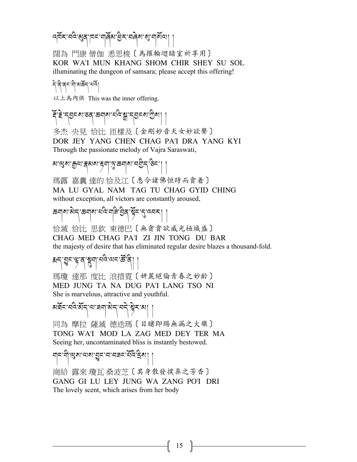#### वर्षे र व्ये बुद् मान्यार्बेब सुर वर्षे या बीजा।

闊為 門康 僧伽 悉思梭〔為摧輪迴暗室祈享用〕 KOR WA'I MUN KHANG SHOM CHIR SHEY SU SOL illuminating the dungeon of samsara; please accept this offering!

#### নি:বি'ৰন'মী'মৰ্ক্টন'মৰ্ম।

以上為內供 This was the inner offering.

#### ६.र्टेञ्ट्य.रर्ट, क्योथ.र्मुद्र,श्चे.र्टेञ्य, नि

多杰 央見 恰比 匝樣及〔金剛妙音天女妙欲聲〕 DOR JEY YANG CHEN CHAG PA'I DRA YANG KYI Through the passionate melody of Vajra Saraswati,

## མ་Zས་=ལ་Wམས་éག་j་ཆགས་བGིད་ཅིང་། །

瑪露 嘉囊 達的 恰及江〔悉令諸佛恒時而貪着〕 MA LU GYAL NAM TAG TU CHAG GYID CHING without exception, all victors are constantly aroused,

# *জনাৰাজ্য-জনাৰা নান না*ন্দ্ৰী ব্ৰিন্দুৰ্দ্দ (ব্যৱহা ||

恰滅 恰比 思欽 東德巴〔無貪貪欲威光極熾盛〕 CHAG MED CHAG PA'I ZI JIN TONG DU BAR the majesty of desire that has eliminated regular desire blazes a thousand-fold.

# ซี่ สะ ต้อย ต้อง และ ตู ยู ไ

瑪瓊 達那 度比 浪措霓〔妍麗絕倫青春之妙齡〕 MED JUNG TA NA DUG PA'I LANG TSO NI She is marvelous, attractive and youthful.

## མརྲོང་བའི་མོད་ལ་རྲག་མེད་བདེ་སྱེར་མ།

同為 摩拉 薩滅 德迭瑪〔目睹即賜無漏之大樂〕 TONG WA'I MOD LA ZAG MED DEY TER MA Seeing her, uncontaminated bliss is instantly bestowed.

## ন|ন'নী, প্রিথা ন্যারা ব্রিং-ন' নব্রন' শ্রিষ্ট্র হা | |

崗給 露來 瓊瓦 桑波芝〔其身散發撲鼻之芳香〕 GANG GI LU LEY JUNG WA ZANG PO'I DRI The lovely scent, which arises from her body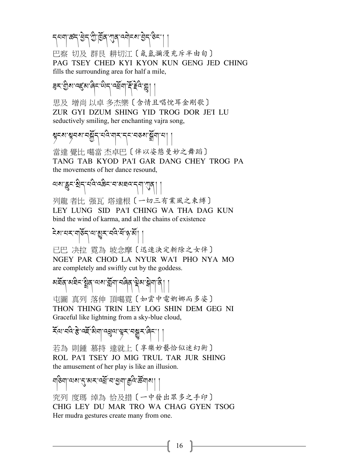དཔག་རོད་རྒྱི་བྱོན་ཀྱན་འགེངས་རྒྱེད་ᢌིང་།

巴察 切及 群艮 耕切江〔氤氳瀰漫充斥半由旬〕 PAG TSEY CHED KYI KYON KUN GENG JED CHING fills the surrounding area for half a mile,

#### <u> बैर्स् ग्</u>रीय पहला बिन् पोन् पर्युया में हेवे श्रु|

思及 增尚 以卓 多杰樂〔含情且唱悅耳金剛歌〕 ZUR GYI DZUM SHING YID TROG DOR JE'I LU seductively smiling, her enchanting vajra song,

# 85% अंत्राज्ञान अर्थन्य अर्थन्य अर्थन्य ।

當達 覺比 噶當 杰卓巴〔伴以姿態曼妙之舞蹈〕 TANG TAB KYOD PA'I GAR DANG CHEY TROG PA the movements of her dance resound,

# াখা খ্ৰুন্দ্ৰীন্দ্ৰীয় ক্ষেত্ৰনাৰী ৰাজ্যৰ ক্ষেত্ৰত কৰা বি

列龍 者比 强瓦 塔達根〔一切三有業風之束縛〕 LEY LUNG SID PA'I CHING WA THA DAG KUN bind the wind of karma, and all the chains of existence

## देश मर मुरुँद मण्डूर नवे सँ २ अँ | |

已巴 决拉 霓為 坡念摩〔迅速決定斬除之女伴〕 NGEY PAR CHOD LA NYUR WA'I PHO NYA MO are completely and swiftly cut by the goddess.

# མརོན་མརིད་རྲིན་ལས་རྐྲོག་བُནིན་ལྲེམ་སྐྲིག་ནི། །

屯圖 真列 落伸 頂噶霓〔如雲中電婀娜而多姿〕 THON THING TRIN LEY LOG SHIN DEM GEG NI Graceful like lightning from a sky-blue cloud,

#### <u> হু</u>ত্ৰাবন্তু, বহু, সুৰ্নাতৱীত্ৰ, ব্ৰিশ্ৰ প্ৰবিদ্ৰা

若為 則鍾 慕持 達就上〔享樂妙藝恰似迷幻術〕 ROL PA'I TSEY JO MIG TRUL TAR JUR SHING the amusement of her play is like an illusion.

#### নাঙনা.লখা:2িগৰ্স.বৰ্ষ্ট্ৰ.মাৰী, খিড়াৰা ।

究列 度瑪 绰為 恰及措〔一中發出眾多之手印〕 CHIG LEY DU MAR TRO WA CHAG GYEN TSOG Her mudra gestures create many from one.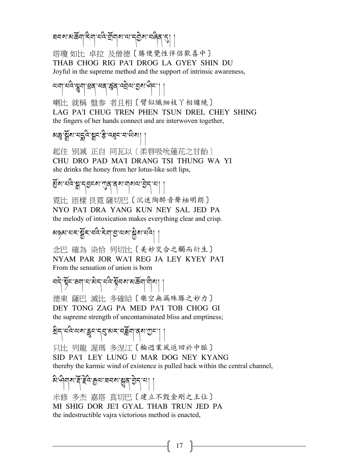ষব্যাম্প্ৰজ্যা হিনা বন্তু মূৰ্যালয় বিভিন্ন প্ৰতি (2

塔瓊 如比 卓拉 及僧德〔勝便覺性伴侶歡喜中〕 THAB CHOG RIG PA'I DROG LA GYEY SHIN DU Joyful in the supreme method and the support of intrinsic awareness,

लब्धाः सुरू जी बर्थः सर्वे । अर्थाः अर्थनः । ।

喇比 就稱 盤参 者且相〔臂似纖細枝丫相纏繞〕 LAG PA'I CHUG TREN PHEN TSUN DREL CHEY SHING the fingers of her hands connect and are interwoven together,

$$
\text{arg}\left[\left.\widetilde{\text{Var}}\right|_{\mathcal{A}}\right]
$$

起住 别滅 正自 同瓦以〔柔唇吸吮蓮花之甘飴〕 CHU DRO PAD MA'I DRANG TSI THUNG WA YI she drinks the honey from her lotus-like soft lips,

§ོས་པའི་â་ད;ངས་Lན་ནས་གསལ་;ེད་པ། །

霓比 匝樣 艮霓 薩切巴〔沉迷陶醉音聲極明朗〕 NYO PA'I DRA YANG KUN NEY SAL JED PA the melody of intoxication makes everything clear and crisp.

མୡ୶ଽ୳ଽୖୄୡ୕ଽ<sup>୵</sup>ଽୡୖ୲ଽ୴ୗଌୖ<sup>୵୶</sup>ୗୡୖୡଽ୲ଽ୲

念巴 確為 染恰 列切比〔美妙交合之觸而衍生〕 NYAM PAR JOR WA'I REG JA LEY KYEY PA'I From the sensation of union is born

নন্দু ইন্দ্ৰনা নাজান নদ্য সূত্ৰ সাম্প্ৰা । 德東 薩巴 滅比 多確給〔樂空無漏殊勝之妙力〕 DEY TONG ZAG PA MED PA'I TOB CHOG GI

the supreme strength of uncontaminated bliss and emptiness;

êིད་པའི་ལས་kང་དa་མར་བiོག་ནས་Oང་། །

只比 列龍 渥瑪 多涅江〔輪迥業風返回於中脈〕 SID PA'I LEY LUNG U MAR DOG NEY KYANG thereby the karmic wind of existence is pulled back within the central channel,

$$
\text{argmin}\left\{\text{argmax}\left\{\text{argmax}\left\{\text{argmax}\left\{\text{argmax}\left\{\text{argmax}\left\{\text{argmax}\left\{\text{argmax}\left\{\text{argmax}\left\{\text{argmax}\left\{\text{argmax}\left\{\text{argmax}\left\{\text{argmax}\left\{\text{argmax}\left\{\text{argmax}\left\{\text{argmax}\left\{\text{argmax}\left\{\text{argmax}\left\{\text{argmax}\left\{\text{argmax}\left\{\text{argmax}\left\{\text{argmax}\left\{\text{argmax}\left\{\text{argmax}\left\{\text{argmax}\left\{\text{argmax}\left\{\text{argmax}\left\{\text{argmax}\left\{\text{argmax}\left\{\text{argmax}\left\{\text{argmax}\left\{\text{argmax}\left\{\text{argmax}\left\{\text{argmax}\left\{\text{argmax}\left\{\text{argmax}\left\{\text{argmax}\left\{\text{argmax}\left\{\text{argmax}\left\{\text{argmax}\left\{\text{argmax}\left\{\text{argmax}\left\{\text{argmax}\left\{\text{argmax}\left\{\text{argmax}\left\{\text{argmax}\left\{\text{argmax}\left\{\text{argmax}\left\{\text{argmax}\left\{\text{argmax}\left\{\text{argmax}\left\{\text{argmax}\left\{\text{argmax}\left\{\text{argmax}\left\{\text{argmax}\left\{\text{argmax}\left\{\text{argmax}\left\{\text{argmax}\left\{\text{argmax}\left\{\text{argmax}\left\{\text{argmax}\left\{\text{argmax}\left\{\text{argmax}\left\{\text{argmax}\left\{\text{argmax}\left\{\text{argmax}\left\{\text{argmax}\left\{\text{argmax}\left\{\text{argmax}\left\{\text{argmax}\left\{\text{argmax}\left\{\text{argmax}\left\{\text{argmax}\left\{\text{argmax}\left\{\text{argmax}\left\{\text{argmax}\left\{\text{argmax}\left\{\text{argmax}\left\{\text{argmax}\left\{\text{argmax}\left\{\text{argmax}\left\{\text{argmax}\left\{\text{argmax}\left\{\text{argmax}\left\{\text{argmax}\left\{\text{argmax}\left\{\text{argmax}\left\{\text{argmax}\left\{\text{argmax}\left\{\text{argmax}\left\{\text{argmax}\left\{\text{argmax}\left\{\text{argmax}\left\{\text{argmax}\left\{\text{argmax}\left\
$$

米修 多杰 嘉塔 真切巴〔建立不毀金剛之王位〕 MI SHIG DOR JE'I GYAL THAB TRUN JED PA the indestructible vajra victorious method is enacted,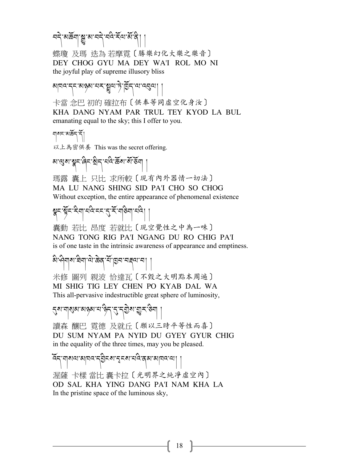<u>ন</u>্ন`মাৰ্ক্টনা'ম্লু'ম'ন্ন্<sub>ন</sub>'ন্ন্ন ইম্ম'ৰ্ম'ন্ন্

蝶瓊 及瑪 迭為 若摩雷〔勝樂幻化大樂之樂音〕 DEY CHOG GYU MA DEY WA'I ROL MO NI the joyful play of supreme illusory bliss

খান্ন-বি: অণ্ডৰা: বাৰ্ম্ব্ৰী ।

卡當 念巴 初的 確拉布〔供奉等同虛空化身汝〕 KHA DANG NYAM PAR TRUL TEY KYOD LA BUL emanating equal to the sky; this I offer to you.

གསང་མཆོད་དོ།

以上為密供養 This was the secret offering.

མ་Zས་|ང་ཞིང་êིད་པའི་ཆོས་སོ་ཅོག །

瑪露 囊上 只比 求所較〔現有內外器情一切法〕 MA LU NANG SHING SID PA'I CHO SO CHOG Without exception, the entire appearance of phenomenal existence

$$
\text{Var}[\widetilde{\mathcal{B}}^{\text{max}};\mathcal{B}^{\text{max}}] \leq \text{Var}[\mathcal{B}^{\text{max}};\mathcal{B}^{\text{max}}] \text{max}
$$

囊動 若比 昂度 若就比〔現空覺性之中為一味〕 NANG TONG RIG PA'I NGANG DU RO CHIG PA'I is of one taste in the intrinsic awareness of appearance and emptiness.

$$
\text{argmin}_{\mathbf{a}}\left\{\text{argmax}_{\mathbf{a}}\left[\text{argmax}_{\mathbf{a}}\left[\mathbf{a}_{\mathbf{a}}\right]\right]\right\}
$$

米修 圖列 親波 恰達瓦〔不毀之大明點本周遍〕 MI SHIG TIG LEY CHEN PO KYAB DAL WA This all-pervasive indestructible great sphere of luminosity,

## স্মেশৰ ৰাজ্য আৰু বিদ্যালী স্থানী

讀森 釀巴 霓德 及就丘〔願以三時平等性而喜〕 DU SUM NYAM PA NYID DU GYEY GYUR CHIG in the equality of the three times, may you be pleased.

#### འོད་གསལ་མཁའ་ད;ིངས་Çངས་པའི་ནམ་མཁའ་ལ། ། 渥薩 卡樣 當比 囊卡拉〔光明界之純凈虛空內〕 OD SAL KHA YING DANG PA'I NAM KHA LA In the pristine space of the luminous sky,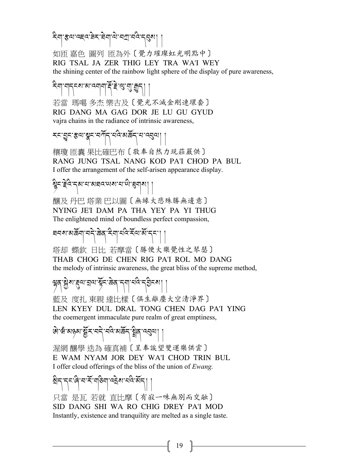इबाद्दवः बेराज्ञेबाद्या नवे न्यू श

如匝 嘉色 圖列 匝為外〔覺力璀璨虹光明點中〕 RIG TSAL JA ZER THIG LEY TRA WA'I WEY the shining center of the rainbow light sphere of the display of pure awareness,

#### རིག་གདངས་མ་འགག་Aོ་Bེ་Z་¶་Ñད། །

若當 瑪噶 多杰 樂古及〔覺光不滅金剛連環套〕 RIG DANG MA GAG DOR JE LU GU GYUD vajra chains in the radiance of intrinsic awareness,

$$
\textbf{1} \textbf{1} \textbf{1} \textbf{1} \textbf{1} \textbf{1} \textbf{1} \textbf{1} \textbf{1} \textbf{1} \textbf{1} \textbf{1} \textbf{1} \textbf{1} \textbf{1} \textbf{1} \textbf{1} \textbf{1} \textbf{1} \textbf{1} \textbf{1} \textbf{1} \textbf{1} \textbf{1} \textbf{1} \textbf{1} \textbf{1} \textbf{1} \textbf{1} \textbf{1} \textbf{1} \textbf{1} \textbf{1} \textbf{1} \textbf{1} \textbf{1} \textbf{1} \textbf{1} \textbf{1} \textbf{1} \textbf{1} \textbf{1} \textbf{1} \textbf{1} \textbf{1} \textbf{1} \textbf{1} \textbf{1} \textbf{1} \textbf{1} \textbf{1} \textbf{1} \textbf{1} \textbf{1} \textbf{1} \textbf{1} \textbf{1} \textbf{1} \textbf{1} \textbf{1} \textbf{1} \textbf{1} \textbf{1} \textbf{1} \textbf{1} \textbf{1} \textbf{1} \textbf{1} \textbf{1} \textbf{1} \textbf{1} \textbf{1} \textbf{1} \textbf{1} \textbf{1} \textbf{1} \textbf{1} \textbf{1} \textbf{1} \textbf{1} \textbf{1} \textbf{1} \textbf{1} \textbf{1} \textbf{1} \textbf{1} \textbf{1} \textbf{1} \textbf{1} \textbf{1} \textbf{1} \textbf{1} \textbf{1} \textbf{1} \textbf{1} \textbf{1} \textbf{1} \textbf{1} \textbf{1} \textbf{1} \textbf{1} \textbf{1} \textbf{1} \textbf{1} \textbf{1} \textbf{1} \textbf{1} \textbf{1} \textbf{1} \textbf{1} \textbf{1} \textbf{1} \textbf{1} \textbf{1} \textbf{1} \textbf{1} \textbf{1} \textbf{1} \textbf{1} \textbf{1} \textbf{1} \textbf{1} \textbf{1} \textbf{1} \textbf{1} \textbf{1} \textbf{
$$

穰瓊 匝囊 果比確巴布〔敬奉自然力現莊嚴供〕 RANG JUNG TSAL NANG KOD PA'I CHOD PA BUL I offer the arrangement of the self-arisen appearance display.

$$
\overline{\mathbf{B}} = \mathbf{B} \left[ \mathbf{B} \mathbf{B} \mathbf{B} \mathbf{B} \mathbf{B} \mathbf{B} \mathbf{B} \mathbf{B} \mathbf{B} \mathbf{B} \mathbf{B} \mathbf{B} \mathbf{B} \mathbf{B} \mathbf{B} \mathbf{B} \mathbf{B} \mathbf{B} \mathbf{B} \mathbf{B} \mathbf{B} \mathbf{B} \mathbf{B} \mathbf{B} \mathbf{B} \mathbf{B} \mathbf{B} \mathbf{B} \mathbf{B} \mathbf{B} \mathbf{B} \mathbf{B} \mathbf{B} \mathbf{B} \mathbf{B} \mathbf{B} \mathbf{B} \mathbf{B} \mathbf{B} \mathbf{B} \mathbf{B} \mathbf{B} \mathbf{B} \mathbf{B} \mathbf{B} \mathbf{B} \mathbf{B} \mathbf{B} \mathbf{B} \mathbf{B} \mathbf{B} \mathbf{B} \mathbf{B} \mathbf{B} \mathbf{B} \mathbf{B} \mathbf{B} \mathbf{B} \mathbf{B} \mathbf{B} \mathbf{B} \mathbf{B} \mathbf{B} \mathbf{B} \mathbf{B} \mathbf{B} \mathbf{B} \mathbf{B} \mathbf{B} \mathbf{B} \mathbf{B} \mathbf{B} \mathbf{B} \mathbf{B} \mathbf{B} \mathbf{B} \mathbf{B} \mathbf{B} \mathbf{B} \mathbf{B} \mathbf{B} \mathbf{B} \mathbf{B} \mathbf{B} \mathbf{B} \mathbf{B} \mathbf{B} \mathbf{B} \mathbf{B} \mathbf{B} \mathbf{B} \mathbf{B} \mathbf{B} \mathbf{B} \mathbf{B} \mathbf{B} \mathbf{B} \mathbf{B} \mathbf{B} \mathbf{B} \mathbf{B} \mathbf{B} \mathbf{B} \mathbf{B} \mathbf{B} \mathbf{B} \mathbf{B} \mathbf{B} \mathbf{B} \mathbf{B} \mathbf{B} \mathbf{B} \mathbf{B} \mathbf{B} \mathbf{B} \mathbf{B} \mathbf{B} \mathbf{B} \mathbf{B} \mathbf{B} \mathbf{B} \mathbf{B} \mathbf{B} \math
$$

釀及 丹巴 塔業 巴以圖〔無緣大悲殊勝無邊意〕 NYING JE'I DAM PA THA YEY PA YI THUG The enlightened mind of boundless perfect compassion,

# ঘনমামৰ্জনা নন্দ্ৰীজৰ বিনামন্ত্ৰী হৈ ৷ |

塔却 蝶欽 日比 若摩當〔勝便大樂覺性之琴瑟〕

THAB CHOG DE CHEN RIG PA'I ROL MO DANG the melody of intrinsic awareness, the great bliss of the supreme method,

## ब्रेष:श्रुष:द्वेष:ब्रव:क्रूब:द्वा.त्र्य:ब्रव्हेट्छ। ।

藍及 度扎 東親 達比樣〔俱生離塵大空清淨界〕 LEN KYEY DUL DRAL TONG CHEN DAG PA'I YING the coemergent immaculate pure realm of great emptiness,

## ཨེ་ཝཾ་མཉམ་tོར་བདེ་བའི་མཆོད་ãིན་འaལ། །

渥網 釀學 迭為 確真補〔呈奉誒望雙運樂供雲〕 E WAM NYAM JOR DEY WA'I CHOD TRIN BUL I offer cloud offerings of the bliss of the union of *Ewang.*

## êིད་དང་ཞི་བ་རོ་གཅིག་འ8ེས་པའི་མོད། །

只當 是瓦 若就 直比摩〔有寂一味無別而交融〕 SID DANG SHI WA RO CHIG DREY PA'I MOD Instantly, existence and tranquility are melted as a single taste.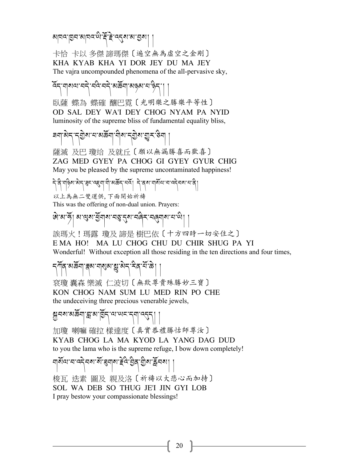গ্রাঘন' হ্রিম' মাদিন' জীক্ট' ব্র্কুম' মা হ্রমা

卡恰 卡以 多傑 諦瑪傑〔遍空無為虛空之金剛〕 KHA KYAB KHA YI DOR JEY DU MA JEY The vajra uncompounded phenomena of the all-pervasive sky,

হ্ন শাৰ্মানা বন্দী বন্দী ৰাষ্ট্ৰশাৰী ৰাষ্ট্ৰশাৰী

臥薩 蝶為 蝶確 釀巴霓〔光明樂之勝樂平等性〕 OD SAL DEY WA'I DEY CHOG NYAM PA NYID luminosity of the supreme bliss of fundamental equality bliss,

$$
\text{Var}[\mathcal{A}^{\text{max}}] = \text{Var}[\mathcal{A}^{\text{max}}]
$$

薩滅 及巴 瓊给 及就丘〔願以無漏勝喜而歡喜〕 ZAG MED GYEY PA CHOG GI GYEY GYUR CHIG May you be pleased by the supreme uncontaminated happiness!

ร่.ส.ปลูง ราร์ ประธาตร์ ป. มุ่.อาชุร ราร์ ป. ร. ป. มุ่.อ. ม.ส. ธ. ราร์ ประธาตร์ ป. 以上為無二雙運供,下面開始祈禱

This was the offering of non-dual union. Prayers:

ཨེ་མ་ཧོ། མ་Zས་Sོགས་བ\་?ས་བཞིར་བ<གས་པ་ཡི། །

誒瑪火!瑪露 瓊及 諦是 樹巴依〔十方四時一切安住之〕 E MA HO! MA LU CHOG CHU DU CHIR SHUG PA YI Wonderful! Without exception all those residing in the ten directions and four times,

ন্সাঁৰ্'মঙ্কিন্' ক্ষম'নাৰ্ম্ম'মু'মিন্' ইৰ্' শ্ৰী |

袞瓊 囊森 樂滅 仁波切〔無欺尊貴殊勝妙三寶〕 KON CHOG NAM SUM LU MED RIN PO CHE the undeceiving three precious venerable jewels,

ลีย์<br>มี ยังเหตุ ลิ้น ยู ยังเหตุ ยังเหตุ มี

加瓊 喇嘛 確拉 樣達度〔真實恭禮勝怙師尊汝〕 KYAB CHOG LA MA KYOD LA YANG DAG DUD to you the lama who is the supreme refuge, I bow down completely!

གསོལ་བ་འདེབས་སོ་zགས་Bེའི་;ིན་Gིས་Åོབས། །

梭瓦 迭素 圖及 親及洛〔祈禱以大悲心而加持〕 SOL WA DEB SO THUG JE'I JIN GYI LOB I pray bestow your compassionate blessings!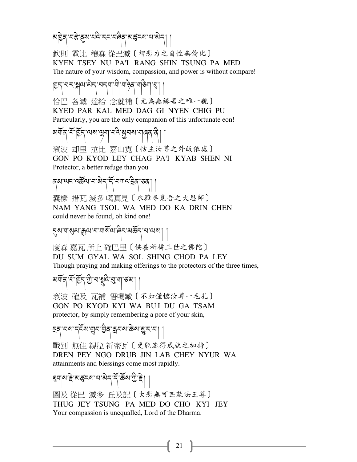མβེན་བརི་ནུས་པའི་རང་བའིན་མརྱོངས་པ་མེད།

欽則 霞比 穰森 從巴滅〔智悲力之自性無倫比〕 KYEN TSEY NU PA'I RANG SHIN TSUNG PA MED The nature of your wisdom, compassion, and power is without compare!

#### pད་པར་™ལ་མེད་བདག་གི་གཉེན་གཅིག་´། །

恰巴 各滅 達給 念就補〔尤為無緣吾之唯一親〕 KYED PAR KAL MED DAG GI NYEN CHIG PU Particularly, you are the only companion of this unfortunate eon!

## য়র্মান্স্-মার্ট্রিন্ব্মম্পুন্ম-মাই:স্কুনম্মান্নন্দ্র বী |

袞波 却里 拉比 嘉山霓〔怙主汝尊之外皈依處〕 GON PO KYOD LEY CHAG PA'I KYAB SHEN NI Protector, a better refuge than you

## ནམ་ཡང་འཚqལ་བ་མེད་དོ་བཀའ་8ིན་ཅན། །

囊樣 措瓦 滅多 噶真見〔永難尋覓吾之大恩師〕 NAM YANG TSOL WA MED DO KA DRIN CHEN could never be found, oh kind one!

## ?ས་གFམ་=ལ་བ་གསོལ་ཞིང་མཆོད་པ་ལས། །

度森 嘉瓦 所上 確巴里〔供養祈禱三世之佛陀〕 DU SUM GYAL WA SOL SHING CHOD PA LEY Though praying and making offerings to the protectors of the three times,

མགོན་པོ་pོད་Oི་བ་¨འི་a་ག་ཙམ། །

袞波 確及 瓦補 悟噶臧〔不如僅憶汝尊一毛孔〕 GON PO KYOD KYI WA BU'I DU GA TSAM protector, by simply remembering a pore of your skin,

## হৰ্'নম'ৰ্হিম'য়ুন'ঠ্ৰৰ্'ক্লনম'ক্তম'খ্ৰুহ'ন||

戰别 無住 親拉 祈密瓦〔更能速得成就之加持〕 DREN PEY NGO DRUB JIN LAB CHEY NYUR WA attainments and blessings come most rapidly.

## zགས་Bེ་མáངས་པ་མེད་དོ་ཆོས་Oི་Bེ། །

圖及 從巴 滅多 丘及記〔大悲無可匹敵法王尊〕 THUG JEY TSUNG PA MED DO CHO KYI JEY Your compassion is unequalled, Lord of the Dharma.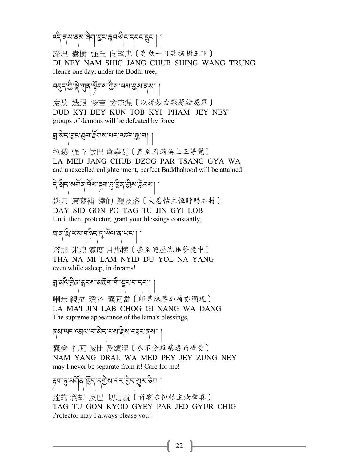འདི་ནས་ནམ་ཞིག་;ང་Yབ་ཤིང་དབང་íང་། །

諦涅 囊樹 强丘 向望忠〔有朝一日菩提樹王下〕 DI NEY NAM SHIG JANG CHUB SHING WANG TRUNG Hence one day, under the Bodhi tree,

བདད་ਹੈ་སྲེ་ཀུན་སྲོབས་ਹੈས་མས་བྱས་ནས། ।

度及 迭跟 多吉 旁杰涅〔以勝妙力戰勝諸魔眾〕 DUD KYI DEY KUN TOB KYI PHAM JEY NEY groups of demons will be defeated by force

## $\mathbb{E}[\mathbf{y}|\mathbf{y}]=\mathbb{E}[\mathbf{y}|\mathbf{y}]$  : الحرية العربية العربية العربية العربية العربية العربية العربية العربية العربية العربية العربية العربية العربية العربية العربية العربية العربية العربية العربية العربية العربية ا

拉滅 强丘 做巴 倉嘉瓦〔直至圓滿無上正等覺〕 LA MED JANG CHUB DZOG PAR TSANG GYA WA and unexcelled enlightenment, perfect Buddhahood will be attained!

# ন্টিন্'ৰাৰ্মাৰ্'মঁৰা'ঙ্গ'ন্টিৰ্' শ্ৰীৰা'ৰ্ম্ননৰ্ম | |

迭只 滾袞補 達的 親及洛〔大恩怙主恒時賜加持〕 DAY SID GON PO TAG TU JIN GYI LOB Until then, protector, grant your blessings constantly,

#### ষ'ব'ৰ্ষ্ট' অৰ্ম' নতি (মৃত্যু ব'ৰ্ম্ম') |

塔那 米浪 霓度 月那樣〔甚至遊歷沈睡夢境中〕 THA NA MI LAM NYID DU YOL NA YANG even while asleep, in dreams!

## स्र अष्ट्रे: इर्चन अर्थिक अर्थन्य स्थानि

喇米 親拉 瓊各 囊瓦當〔師尊殊勝加持亦顯現〕 LA MA'I JIN LAB CHOG GI NANG WA DANG The supreme appearance of the lama's blessings,

## बेबालदाउँबैर एका हुआ चर्चेदार्थ ।

囊樣 扎瓦 滅比 及頌涅〔永不分離慈悲而攝受〕 NAM YANG DRAL WA MED PEY JEY ZUNG NEY may I never be separate from it! Care for me!

#### ह्या तुः अर्गेविः विद्रः न्युष्ठः स्वरः चेन् : सुरुः डेस्

達的 袞却 及巴 切急就〔祈願永恒怙主汝歡喜〕 TAG TU GON KYOD GYEY PAR JED GYUR CHIG Protector may I always please you!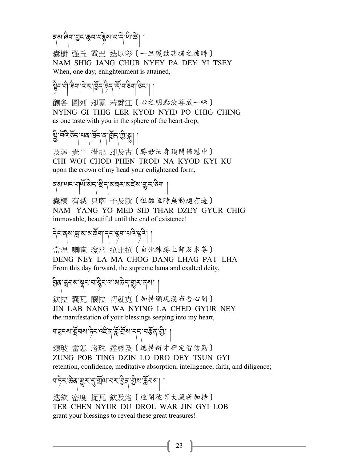สฺสฺ : สฺสฺ : สฺธฺ : สฺธฺ : สฺธฺ |

囊樹 强丘 霓巴 迭以彩〔一旦獲致菩提之彼時〕 NAM SHIG JANG CHUB NYEY PA DEY YI TSEY When, one day, enlightenment is attained,

## fིང་གི་ཐིག་ལེར་pོད་ཉིད་རོ་གཅིག་ཅིང་། །

釀各 圖列 却霓 若就江〔心之明點汝尊成一味〕 NYING GI THIG LER KYOD NYID PO CHIG CHING as one taste with you in the sphere of the heart drop,

# স্ত্রী, দূর্ভ্রন, দুর্ভাব, বার্ড্রি-ড্রি, স্ত্রী |

及渥 覺半 措那 却及古〔勝妙汝身頂間佛冠中〕 CHI WO'I CHOD PHEN TROD NA KYOD KYI KU upon the crown of my head your enlightened form,

# ব্য'খ্যম'নাৰ্ম্য'ষ্ট্ৰম'ৰাইম'য়ুম'ঙ্গ |

囊樣 有滅 只塔 子及就〔但願恒時無動趨有邊〕 NAM YANG YO MED SID THAR DZEY GYUR CHIG immovable, beautiful until the end of existence!

#### དེང་ནས་\*་མ་མཆོག་དང་lག་པའི་lའི། །

當涅 喇嘛 瓊當 拉比拉〔自此殊勝上師及本尊〕 DENG NEY LA MA CHOG DANG LHAG PA'I LHA From this day forward, the supreme lama and exalted deity,

#### ३३८ में स्था के सामा होता है। इन्हें स्था है। इन्हें स्था है। इन्हें स्था है। इन्हें स्था है। इन्हें स्था है।

欽拉 囊瓦 釀拉 切就雷〔加持顯現漫布吾心間〕 JIN LAB NANG WA NYING LA CHED GYUR NEY the manifestation of your blessings seeping into my heart,

### শ্বিন্ম'ষ্ট্ৰনম'ট্যন'ৰ্ন্নক'ৰ্মীম'ন্ন'নৰ্ক্টন'থ্ৰী |

頌玻 當怎 洛珠 達尊及〔總持辯才禪定智信勤〕 ZUNG POB TING DZIN LO DRO DEY TSUN GYI retention, confidence, meditative absorption, intelligence, faith, and diligence;

#### শচ্বিং জ্ঞব্ৰাগ্ডুৰাণ্ড্ৰীয়াৰ বাবা বিজ্ঞানী ।

迭欽 密度 捉瓦 欽及洛〔速開彼等大藏祈加持〕 TER CHEN NYUR DU DROL WAR JIN GYI LOB grant your blessings to reveal these great treasures!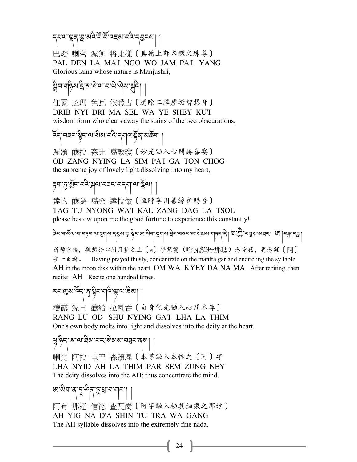ন্নতাত্মৰ স্মন্তদ্ৰুদ্ধে বাৰ্ত কৰা।

巴燈 喇密 渥無 將比樣〔具德上師本體文殊尊〕 PAL DEN LA MA'I NGO WO JAM PA'I YANG Glorious lama whose nature is Manjushri,

#### <u>ક</u>્ષેત્ર વહેલ કોલ કોલ ન લોકો અને જ્યારી ||

住霓 芝瑪 色瓦 依悉古〔遣除二障塵垢智慧身〕 DRIB NYI DRI MA SEL WA YE SHEY KU'I wisdom form who clears away the stains of the two obscurations,

হিন্'নৰন'শ্বীন'থ'ষ্টৰ'মুখ মুদ্ৰ'মেৰ্টৰ'মাৰ্ট

渥頌 釀拉 森比 噶敦瓊〔妙光融入心間勝喜宴〕 OD ZANG NYING LA SIM PA'I GA TON CHOG the supreme joy of lovely light dissolving into my heart,

## éག་j་§ོང་བའི་™ལ་བཟང་བདག་ལ་Æོལ། །

達的 釀為 噶桑 達拉做〔恒時享用善緣祈賜吾〕 TAG TU NYONG WA'I KAL ZANG DAG LA TSOL please bestow upon me the good fortune to experience this constantly!

ਫ਼ਲ਼রার্যার্যার্যান্ত্রারার্থান্বর্যান্ত্রাষ্ট্রনাথাঞ্জিরা স্থিনবিদির্যার্থার্যার্থার্থানির্বীনষ্ট্রার্থার্থার্থ<br>বিশার্থার্থার্থার্থার্থার্থার্থান্বরার্থান্ত্রাষ্ট্রনাথাঞ্জিরা স্থার্থারিদার্থবার্থার্থার্থারার্থি স্থান্টারা 祈禱完後, 觀想於心間月墊之上〔w〕字咒鬘(嗡瓦解丹那瑪)念完後, 再念誦〔阿〕 字一百遍。 Having prayed thusly, concentrate on the mantra garland encircling the syllable AH in the moon disk within the heart. OM WA KYEY DA NA MA After reciting, then recite: AHRecite one hundred times.

$$
\text{1.5.4} \left[ \text{1.5.1} \right]
$$

穰露 渥日 釀給 拉喇吞〔自身化光融入心間本尊〕 RANG LU OD SHU NYING GA'I LHA LA THIM One's own body melts into light and dissolves into the deity at the heart.

### କ୍ଲାଡିମ୍'ଖ'ଦ୍ୟାସିଷ'ସ $\mathbf{r}$ 'ଶିସ୍ୟାସ $\mathbf{r}$ ଞ୍ଚ'ବ୍ୟ $||$

喇霓 阿拉 屯巴 森頌涅〔本尊融入本性之〔阿〕字 LHA NYID AH LA THIM PAR SEM ZUNG NEY The deity dissolves into the AH; thus concentrate the mind.

## ཨ་ཡིག་ན་°་ཤིན་j་N་བ་གང་། །

阿有 那達 信德 查瓦崗〔阿字融入極其細微之那達〕 AH YIG NA D'A SHIN TU TRA WA GANG The AH syllable dissolves into the extremely fine nada.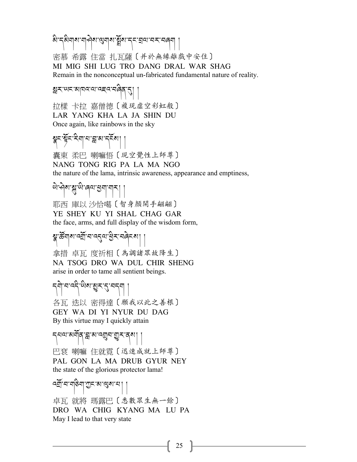ষ্টান্ঠিমাঝামাণ্ড্ৰমাৰাষ্ট্ৰমান্ন ব্ৰন্মানন্দৰেশ |

密慕 希露 住當 扎瓦薩〔并於無緣離戲中安住〕 MI MIG SHI LUG TRO DANG DRAL WAR SHAG Remain in the nonconceptual un-fabricated fundamental nature of reality.

Rར་ཡང་མཁའ་ལ་འཇའ་བཞིན་?། །

拉樣 卡拉 嘉僧德〔複現虛空彩虹般〕 LAR YANG KHA LA JA SHIN DU Once again, like rainbows in the sky

## \* รับ 5 ธุรกิจ

囊東 柔巴 喇嘛悟〔現空覺性上師尊〕 NANG TONG RIG PA LA MA NGO the nature of the lama, intrinsic awareness, appearance and emptiness,

ཡེ་ཤེས་@་ཡི་ཞལ་Sག་གར། །

耶西 庫以 沙恰噶〔智身顏開手翩翩〕 YE SHEY KU YI SHAL CHAG GAR the face, arms, and full display of the wisdom form,

# श्लुःर्ळेग|शार्व्यु'मान्द्र्वयाञ्चे $\boldsymbol{\star}$ 'मलेह्र्य

拿措 卓瓦 度祈相〔為調諸眾故降生〕 NA TSOG DRO WA DUL CHIR SHENG arise in order to tame all sentient beings.

# དགེ་བ་འདི་ཡིས་†ར་?་བདག །

各瓦 迭以 密得達〔願我以此之善根〕 GEY WA DI YI NYUR DU DAG By this virtue may I quickly attain

#### དཔལ་མགོན་\*་མ་འ9བ་Uར་ནས། །

巴袞 喇嘛 住就霓〔迅速成就上師尊〕 PAL GON LA MA DRUB GYUR NEY the state of the glorious protector lama!

#### বর্ত্রী'ব'শক্তিশ'স্তুর'ম'গে||

卓瓦 就將 瑪露巴〔悉數眾生無一餘〕 DRO WA CHIG KYANG MA LU PA May I lead to that very state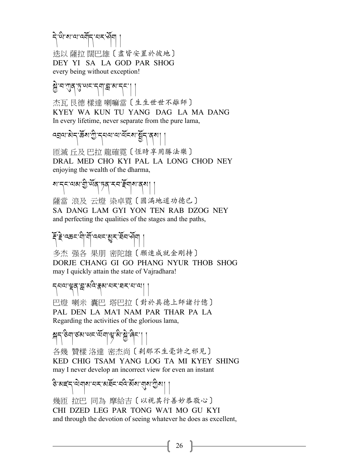## དེ་ཡི་ས་ལ་འགོད་པར་ཤོག །

迭以 薩拉 闊巴雄〔盡皆安置於彼地〕 DEY YI SA LA GOD PAR SHOG every being without exception!

#### $\widetilde{y}$ 'च'गुव् $\widetilde{\beta}$ 'ਘ $\widetilde{\gamma}$ न्या' $\widetilde{y}$ 'म $\widetilde{\gamma}$ '||

杰瓦 艮德 樣達 喇嘛當〔生生世世不離師〕 KYEY WA KUN TU YANG DAG LA MA DANG In every lifetime, never separate from the pure lama,

# ्ट्यवाडोन् क्रेंश:गु:न्यवावार्येन्डा:ब्रुन्'त्रुष

匝滅 丘及 巴拉 龍確霓〔恆時享用勝法樂〕 DRAL MED CHO KYI PAL LA LONG CHOD NEY enjoying the wealth of the dharma,

## য়'ন্ন'থৰ' শ্ৰু' অঁৰ্' চৰ্' মন' ইন্মৰ' ব্ৰা

薩當 浪及 云燈 染卓霓〔圆满地道功德已〕 SA DANG LAM GYI YON TEN RAB DZOG NEY and perfecting the qualities of the stages and the paths,

# ইঁ ই:বক্তন'নী'নী'ব্ৰব্দ'ম্ভুন'ৰ্মন'ৰ্মৰা |

多杰 强各 果朋 密陀雄〔願速成就金剛持〕 DORJE CHANG GI GO PHANG NYUR THOB SHOG may I quickly attain the state of Vajradhara!

#### དཔལ་ལྲུན་སྲུ་མའི་རྲས་པར་བར་པ་ལ། །

巴燈 喇米 囊巴 塔巴拉〔對於具德上師諸行億〕 PAL DEN LA MA'I NAM PAR THAR PA LA Regarding the activities of the glorious lama,

#### ™ད་ཅིག་ཙམ་ཡང་ལོག་h་མི་Jེ་ཞིང་། །

各幾 贊樣 洛達 密杰尚〔剎那不生毫許之邪見〕 KED CHIG TSAM YANG LOG TA MI KYEY SHING may I never develop an incorrect view for even an instant

# ङ अह्म से बोर्ग राज्ञ अन्न ।<br>इन्धर्

幾匝 拉巴 同為 摩給吉〔以視其行善妙恭敬心〕 CHI DZED LEG PAR TONG WA'I MO GU KYI and through the devotion of seeing whatever he does as excellent,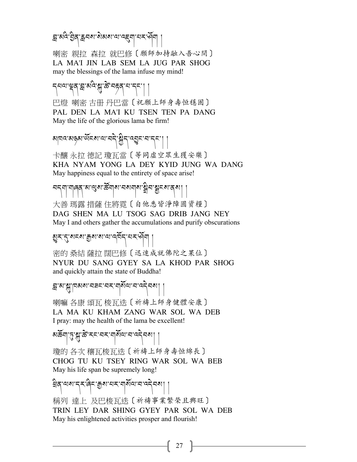ন্ন'ঝন্দ' হ্ৰিন'ক্লনৰাজ্যৰ অংশ আৰম্ভ আৰু মান কৰি

喇密 親拉 森拉 就巴修〔願師加持融入吾心間〕 LA MA'I JIN LAB SEM LA JUG PAR SHOG may the blessings of the lama infuse my mind!

สาขา สุราช (สุราช สุราช สุราช 5 巴燈 喇密 古册 丹巴當〔祝願上師身壽恒穩固〕 PAL DEN LA MA'I KU TSEN TEN PA DANG May the life of the glorious lama be firm!

## য়ঢ়ঢ়ৼড়ৠড়ঢ়ৼঀ৻ড়ঢ়৸ড়৸ড়৸ৼ৻ড়ঀৼ৻ৼঢ়৻ৗ

卡釀 永拉 德記 瓊瓦當〔等同虛空眾生獲安樂〕 KHA NYAM YONG LA DEY KYID JUNG WA DANG May happiness equal to the entirety of space arise!

ㅋ८४ मा मोखेर अर्.अ. कुर्याले अर्.अ. अर्.अ. । ।

大善 瑪露 措薩 住將霓〔自他悉皆淨障圓資糧〕 DAG SHEN MA LU TSOG SAG DRIB JANG NEY May I and others gather the accumulations and purify obscurations

## †ར་?་སངས་=ས་ས་ལ་འཁོད་པར་ཤོག །

密的 桑結 薩拉 闊巴修〔迅速成就佛陀之果位〕 NYUR DU SANG GYEY SA LA KHOD PAR SHOG and quickly attain the state of Buddha!

#### ন্ন'ম'ম্'াবমম'নৰ্হ'নহ'নাৰ্মীঅ'ন'ন্ট্ৰমা |

喇嘛 各康 頌瓦 梭瓦迭〔祈禱上師身健體安康〕 LA MA KU KHAM ZANG WAR SOL WA DEB I pray: may the health of the lama be excellent!

#### མརོས་གུ་སྱུ་རྱི་རང་བར་གསོལ་བ་འདེབས། །

瓊的 各次 穰瓦梭瓦迭〔祈禱上師身壽恒綿長〕 CHOG TU KU TSEY RING WAR SOL WA BEB May his life span be supremely long!

## খিন্'অম'ন্ম'ৰ্নি'ক্ৰুম'নম'নাৰ্মঅ'ন'ন্দ্ৰনমা |

稱列 達上 及巴梭瓦迭〔祈禱事業繁榮且興旺〕 TRIN LEY DAR SHING GYEY PAR SOL WA DEB May his enlightened activities prosper and flourish!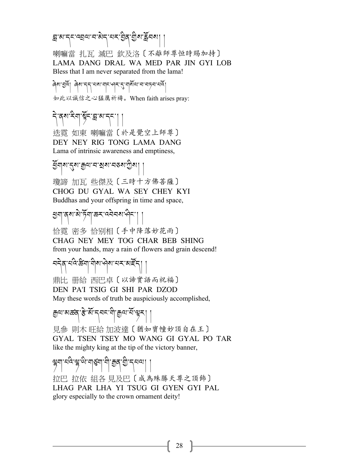#### \*་མ་དང་འÉལ་བ་མེད་པར་;ིན་Gིས་Åོབས། །

喇嘛當 扎瓦 滅巴 欽及洛〔不離師尊恒時賜加持〕 LAMA DANG DRAL WA MED PAR JIN GYI LOB Bless that I am never separated from the lama!

ཞེས་Uའོ། ཞེས་དད་པས་གང་ཤར་\*་གསོལ་བ་བཏབ་པའོ། 如此以誠信之心猛厲祈禱。When faith arises pray:

# ริสุข ริยุ มีธรณะ ยัง

迭霓 如東 喇嘛當〔於是覺空上師尊〕 DEY NEY RIG TONG LAMA DANG Lama of intrinsic awareness and emptiness,

#### ইঁনাম'ন্ডম'ক্ৰম'ন'ৰ'ম'টিমা

瓊諦 加瓦 些傑及〔三時十方佛菩薩〕 CHOG DU GYAL WA SEY CHEY KYI Buddhas and your offspring in time and space,

শ্ৰূণাব্ৰুষামীৰ্ট্যাক্তহাৰ্য্যক্ৰমাৰ্শ্বি

恰霓 密多 恰别相〔手中降落妙花雨〕 CHAG NEY MEY TOG CHAR BEB SHING from your hands, may a rain of flowers and grain descend!

#### নন্দ্রান্দ্রি:স্ক্রিনা, ন্যান্দ্রান্দ্রান্দ্রান্দ্রা

鼎比 册給 西巴卓〔以諦實語而祝福〕 DEN PA'I TSIG GI SHI PAR DZOD May these words of truth be auspiciously accomplished,

#### ক্রি<sub>তা প্রথাপু<sub>-</sub>পু.পু.খু.খেতি যি বিজ্ঞান ।</sub>

見參 則木 旺給 加波達〔猶如寶幢妙頂自在王〕 GYAL TSEN TSEY MO WANG GI GYAL PO TAR like the mighty king at the tip of the victory banner,

# मैर्ग राष्ट्र कै.चब्रिची.च्री.च्रिटे,च्री.टीचल | ।

拉巴 拉依 組各 見及巴〔成為殊勝天尊之頂飾〕 LHAG PAR LHA YI TSUG GI GYEN GYI PAL glory especially to the crown ornament deity!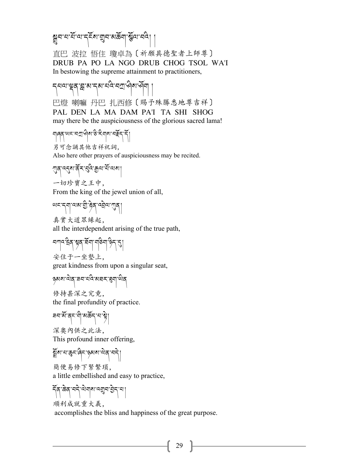মুন ন'মঁ'ঝ'ব্ৰ্হঁম'য়ুন'মৰ্চ্কনা'স্কুঁথ'ব্ৰব্।

直巴 波拉 悟住 瓊卓為〔祈願具德聖者上師尊〕 DRUB PA PO LA NGO DRUB CHOG TSOL WA'I In bestowing the supreme attainment to practitioners,

รุสตามสุสามารุษาสุขาร์ 巴燈 喇嘛 丹巴 扎西修〔賜予殊勝悉地尊吉祥〕 PAL DEN LA MA DAM PA'I TA SHI SHOG may there be the auspiciousness of the glorious sacred lama!

གཞན་ཡང་བW་ཤིས་ཅི་རིགས་བ<ོད་དོ།

另可念誦其他吉祥祝詞, Also here other prayers of auspiciousness may be recited.

!ན་འ%ས་ནོར་)འི་+ལ་པོ་ལས།

一切珍寶之王中,

From the king of the jewel union of all,

ตะ: รุ่ขาตะเลิ้ว รุ่ย เชียว มีย่า

真實大道眾緣起, all the interdependent arising of the true path,

كلي العهام العلم العلم المعالمية المسابق

安住于一坐墊上, great kindness from upon a singular seat,

ཉམས་ལེན་ཟབ་པའི་མཐར་@ག་ཡིན

修持甚深之究竟, the final profundity of practice.

ৰন<sup>:</sup>মঁ'ৰ্ম'<sup>:</sup>মী'মৰ্ক্টন'ম' ষ্ট্ৰ|

深奧內供之此法, This profound inner offering,

$$
\widetilde{\mathbb{A}}^{\text{N}}\text{-}\text{N}\text{-}\text{B}\text{-}\text{B}\text{-}\text{B}\text{-}\text{B}\text{-}\text{B}\text{-}\text{B}\text{-}\text{B}
$$

簡便易修下緊繁瑣, a little embellished and easy to practice,

$$
\frac{1}{2} \left( \frac{1}{2} \sum_{i=1}^{n} \sum_{j=1}^{n} \sum_{j=1}^{n} \sum_{j=1}^{n} \left| \sum_{j=1}^{n} \sum_{j=1}^{n} \sum_{j=1}^{n} \sum_{j=1}^{n} \sum_{j=1}^{n} \sum_{j=1}^{n} \sum_{j=1}^{n} \sum_{j=1}^{n} \sum_{j=1}^{n} \sum_{j=1}^{n} \sum_{j=1}^{n} \sum_{j=1}^{n} \sum_{j=1}^{n} \sum_{j=1}^{n} \sum_{j=1}^{n} \sum_{j=1}^{n} \sum_{j=1}^{n} \sum_{j=1}^{n} \sum_{j=1}^{n} \sum_{j=1}^{n} \sum_{j=1}^{n} \sum_{j=1}^{n} \sum_{j=1}^{n} \sum_{j=1}^{n} \sum_{j=1}^{n} \sum_{j=1}^{n} \sum_{j=1}^{n} \sum_{j=1}^{n} \sum_{j=1}^{n} \sum_{j=1}^{n} \sum_{j=1}^{n} \sum_{j=1}^{n} \sum_{j=1}^{n} \sum_{j=1}^{n} \sum_{j=1}^{n} \sum_{j=1}^{n} \sum_{j=1}^{n} \sum_{j=1}^{n} \sum_{j=1}^{n} \sum_{j=1}^{n} \sum_{j=1}^{n} \sum_{j=1}^{n} \sum_{j=1}^{n} \sum_{j=1}^{n} \sum_{j=1}^{n} \sum_{j=1}^{n} \sum_{j=1}^{n} \sum_{j=1}^{n} \sum_{j=1}^{n} \sum_{j=1}^{n} \sum_{j=1}^{n} \sum_{j=1}^{n} \sum_{j=1}^{n} \sum_{j=1}^{n} \sum_{j=1}^{n} \sum_{j=1}^{n} \sum_{j=1}^{n} \sum_{j=1}^{n} \sum_{j=1}^{n} \sum_{j=1}^{n} \sum_{j=1}^{n} \sum_{j=1}^{n} \sum_{j=1}^{n} \sum_{j=1}^{n} \sum_{j=1}^{n} \sum_{j=1}^{n} \sum_{j=1}^{n} \sum_{j=1}^{n} \sum_{j=1}^{n} \sum_{j=1}^{n}
$$

順利成就重大義, accomplishes the bliss and happiness of the great purpose.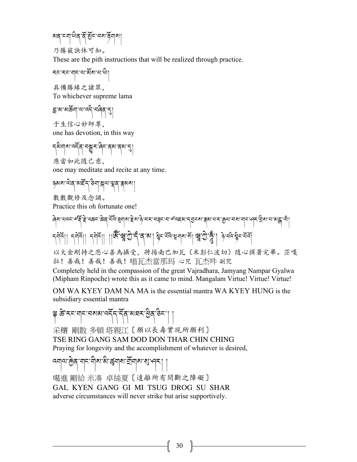མན་ངག་ཡིན་ནོ་Gོང་བས་5ོགས།

乃勝竅訣休可知。

These are the pith instructions that will be realized through practice.

རང་རང་གང་ལ་མོས་པ་ཡི།

具備勝緣之諸眾, To whichever supreme lama

স্ক্রাম্প্রজ্নী, বাড়ু (২)

于生信心妙師尊, one has devotion, in this way

รุจิมุขาวรัฐฯ รษณะ สุลาสุลา<br>รุ 應當如此隨己意,

one may meditate and recite at any time.

<u>કુ</u>ચારા વ્યક્તિ કર્યા સેના કોર્ય કેજાઓ

數數觀修及念誦。

Practice this oh fortunate one!

ِلَّهِ الْكَسِدِيمَ الْمَسْتَ الْمَسْتَ الْمَسْتَ الْمَسْتَ الْمَسْتَ الْمَسْتَ الْمَسْتَ الْمَسْتَ الْمَسْتَ<br>وَالْمَسْتَ الْمَسْتَ الْمَسْتَ الْمَسْتَ الْمَسْتَ الْمَسْتَ الْمَسْتَ الْمَسْتَ الْمَسْتَ الْمَسْتَ الْمَسْ ह्मोद्।। ह्मोद्।। ह्मोद्।। ।।।अँस्थ्रुकुर्द्गत् अ। श्रैद्भिष्यमायास् श्रृष्ठिपुर्वुः। ब्रे.चवेःश्रैद्भ्यव्रं

以大金剛持之悲心善為攝受,將揚南巴加瓦(米彭仁波切)隨心撰著完畢。茫嘎 拉!善哉!善哉!善哉!嗡瓦杰當那玛 心咒 瓦杰吽 副咒

Completely held in the compassion of the great Vajradhara, Jamyang Nampar Gyalwa (Mipham Rinpoche) wrote this as it came to mind. Mangalam Virtue! Virtue! Virtue!

OM WA KYEY DAM NA MA is the essential mantra WA KYEY HUNG is the subsidiary essential mantra

༈ ཚb་རང་གང་བསམ་འདོད་དོན་མཐར་Sིན་ཅིང་། །

采穰 剛散 多頓 塔親江〔願以長壽實現所願利〕

TSE RING GANG SAM DOD DON THAR CHIN CHING Praying for longevity and the accomplishment of whatever is desired,

 $\left. \frac{1}{\sqrt{2}}\right| \left. \frac{1}{\sqrt{2}}\right| \left. \frac{1}{\sqrt{2}}\right| \left. \frac{1}{\sqrt{2}}\right| \left. \frac{1}{\sqrt{2}}\right| \left. \frac{1}{\sqrt{2}}\right| \left. \frac{1}{\sqrt{2}}\right| \left. \frac{1}{\sqrt{2}}\right| \left. \frac{1}{\sqrt{2}}\right| \left. \frac{1}{\sqrt{2}}\right| \left. \frac{1}{\sqrt{2}}\right| \left. \frac{1}{\sqrt{2}}\right| \left. \frac{1}{\sqrt{2}}\right| \left. \frac{1}{\sqrt{$ 

噶進 剛給 米凑 卓絲夏〔遠離所有間斷之障礙〕 GAL KYEN GANG GI MI TSUG DROG SU SHAR adverse circumstances will never strike but arise supportively.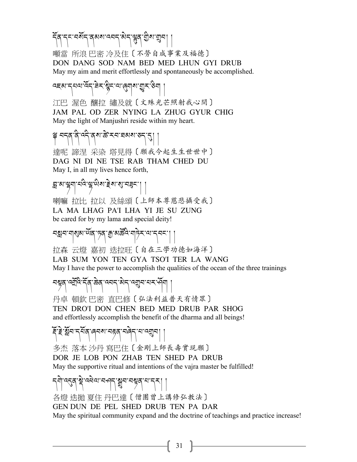# รัส ระ รมัร สุมม รารา 35 สิง สิร

噸當 所浪 巴密 冷及住〔不勞自成事業及福德〕 DON DANG SOD NAM BED MED LHUN GYI DRUB May my aim and merit effortlessly and spontaneously be accomplished.

## द्भबान्नयादेन बेन श्रेन या (बेचला बीन् : कुन्नाडी

江巴 渥色 釀拉 繡及就〔文殊光芒照射我心間〕 JAM PAL OD ZER NYING LA ZHUG GYUR CHIG May the light of Manjushri reside within my heart.

# ༈ བདན་ནི་འདི་ནས་ཚb་རབ་ཐམས་ཅད་?། །

達呢 諦涅 采染 塔見得〔願我今起生生世世中〕 DAG NI DI NE TSE RAB THAM CHED DU May I, in all my lives hence forth,

# $\mathbb{E}[\mathbf{y}^{\text{max}}]$ الجام التعليم التي تعليم التي تعليم التي تعليم التي تعليم التي تعليم التي تعليم التي تعليم التي تعليم التي تعليم التي تعليم التي تعليم التي تعليم التي تعليم التي تعليم التي تعليم التي تعليم التي تعليم

喇嘛 拉比 拉以 及絲頌〔上師本尊慈悲攝受我〕 LA MA LHAG PA'I LHA YI JE SU ZUNG be cared for by my lama and special deity!

## चक्षय गर्छुवा छैँदा मुक्त अर्केद गर्ने राज्य नव्या

拉森 云燈 嘉初 迭拉旺〔自在三學功德如海洋〕 LAB SUM YON TEN GYA TSO'I TER LA WANG

May I have the power to accomplish the qualities of the ocean of the three trainings

# বশ্বুৰ দ্ৰম্ভি ইৰ জ্ঞৰ দেশৰ জ্ঞান দেখীৰ পৰিব।

丹卓 頓欽 巴密 直巴修〔弘法利益普天有情眾〕 TEN DRO'I DON CHEN BED MED DRUB PAR SHOG and effortlessly accomplish the benefit of the dharma and all beings!

#### Aོ་Bེ་Rོབ་དཔོན་ཞབས་བéན་བཞེད་པ་འ9བ། །

多杰 落本 沙丹 寫巴住〔金剛上師長壽實現願〕 DOR JE LOB PON ZHAB TEN SHED PA DRUB May the supportive ritual and intentions of the vajra master be fulfilled!

## དགེ་འ?ན་uེ་འཕེལ་བཤད་Mབ་བIན་པ་དར། །

各燈 迭拋 夏住 丹巴達〔僧團曾上講修弘教法〕 GEN DUN DE PEL SHED DRUB TEN PA DAR May the spiritual community expand and the doctrine of teachings and practice increase!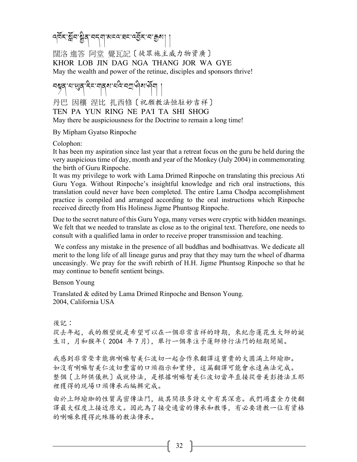ন্দ্রিম শ্ল্রীব্রামন্মা মাননা মানা নর্ত্রমানা ক্রমা

闊洛 進答 阿堂 覺瓦記〔徒眾施主威力物資廣〕 KHOR LOB JIN DAG NGA THANG JOR WA GYE May the wealth and power of the retinue, disciples and sponsors thrive!

चब्नुवासासुवादेन मानवास्थे नगरी ।

丹巴 因穰 涅比 扎西修〔祝願教法恒駐妙吉祥〕 TEN PA YUN RING NE PA'I TA SHI SHOG May there be auspiciousness for the Doctrine to remain a long time!

By Mipham Gyatso Rinpoche

Colophon:

It has been my aspiration since last year that a retreat focus on the guru be held during the very auspicious time of day, month and year of the Monkey (July 2004) in commemorating the birth of Guru Rinpoche.

It was my privilege to work with Lama Drimed Rinpoche on translating this precious Ati Guru Yoga. Without Rinpoche's insightful knowledge and rich oral instructions, this translation could never have been completed. The entire Lama Chodpa accomplishment practice is compiled and arranged according to the oral instructions which Rinpoche received directly from His Holiness Jigme Phuntsog Rinpoche.

Due to the secret nature of this Guru Yoga, many verses were cryptic with hidden meanings. We felt that we needed to translate as close as to the original text. Therefore, one needs to consult with a qualified lama in order to receive proper transmission and teaching.

We confess any mistake in the presence of all buddhas and bodhisattvas. We dedicate all merit to the long life of all lineage gurus and pray that they may turn the wheel of dharma unceasingly. We pray for the swift rebirth of H.H. Jigme Phuntsog Rinpoche so that he may continue to benefit sentient beings.

Benson Young

Translated & edited by Lama Drimed Rinpoche and Benson Young. 2004, California USA

後記:

從去年起,我的願望就是希望可以在一個非常吉祥的時期,來紀念蓮花生大師的誕 生日,月和猴年(2004年7月),舉行一個專注予蓮師修行法門的短期閉關。

我感到非常榮幸能與喇嘛智美仁波切一起合作來翻譯這寶貴的大圓滿上師瑜珈。 如沒有喇嘛智美仁波切豐富的口頭指示和實修,這篇翻譯可能會永遠無法完成。 整個〔上師供儀軌〕成就修法,是根據喇嘛智美仁波切當年直接從晉美彭措法王那 裡獲得的現場口頭傳承而編輯完成。

由於上師瑜珈的性質爲密傳法門,故其間很多詩文中有其深意。我們竭盡全力使翻 譯最大程度上接近原文。因此為了接受適當的傳承和教導,有必要請教一位有資格 的喇嘛來獲得此殊勝的教法傳承。